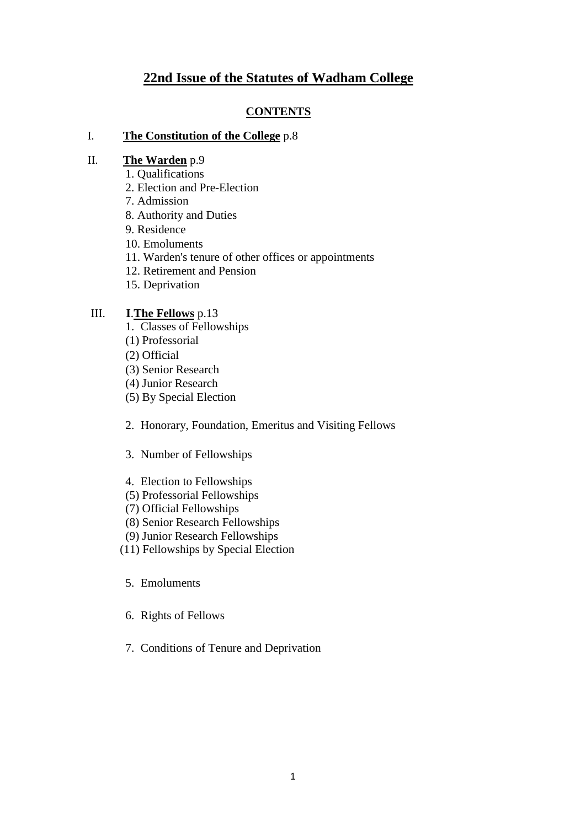# **22nd Issue of the Statutes of Wadham College**

# **CONTENTS**

### I. **The Constitution of the College** p.8

## II. **The Warden** p.9

- 1. Qualifications
- 2. Election and Pre-Election
- 7. Admission
- 8. Authority and Duties
- 9. Residence
- 10. Emoluments
- 11. Warden's tenure of other offices or appointments
- 12. Retirement and Pension
- 15. Deprivation

# III. **I**.**The Fellows** p.13

- 1. Classes of Fellowships
- (1) Professorial
- (2) Official
- (3) Senior Research
- (4) Junior Research
- (5) By Special Election
- 2. Honorary, Foundation, Emeritus and Visiting Fellows
- 3. Number of Fellowships
- 4. Election to Fellowships
- (5) Professorial Fellowships
- (7) Official Fellowships
- (8) Senior Research Fellowships
- (9) Junior Research Fellowships
- (11) Fellowships by Special Election
	- 5. Emoluments
	- 6. Rights of Fellows
	- 7. Conditions of Tenure and Deprivation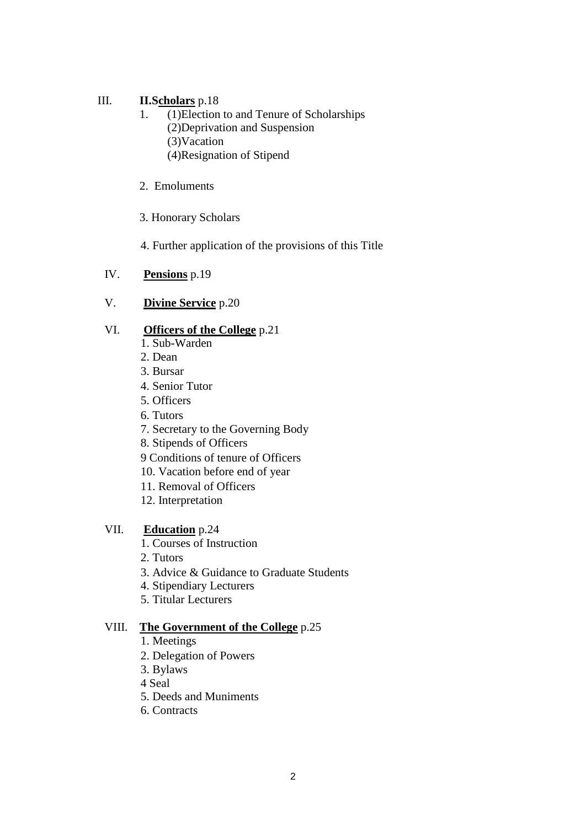# III. **II.Scholars** p.18

- 1. (1)Election to and Tenure of Scholarships (2)Deprivation and Suspension (3)Vacation (4)Resignation of Stipend
- 2. Emoluments
- 3. Honorary Scholars

4. Further application of the provisions of this Title

- IV. **Pensions** p.19
- V. **Divine Service** p.20

# VI. **Officers of the College** p.21

- 1. Sub-Warden
- 2. Dean
- 3. Bursar
- 4. Senior Tutor
- 5. Officers
- 6. Tutors
- 7. Secretary to the Governing Body
- 8. Stipends of Officers
- 9 Conditions of tenure of Officers
- 10. Vacation before end of year
- 11. Removal of Officers
- 12. Interpretation

# VII. **Education** p.24

- 1. Courses of Instruction
- 2. Tutors
- 3. Advice & Guidance to Graduate Students
- 4. Stipendiary Lecturers
- 5. Titular Lecturers

## VIII. **The Government of the College** p.25

- 1. Meetings
- 2. Delegation of Powers
- 3. Bylaws
- 4 Seal
- 5. Deeds and Muniments
- 6. Contracts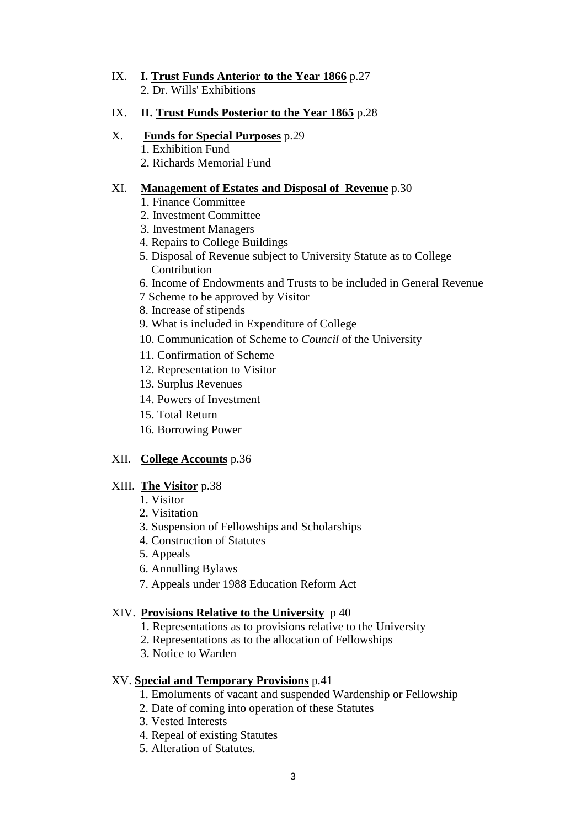IX. **I. Trust Funds Anterior to the Year 1866** p.27 2. Dr. Wills' Exhibitions

# IX. **II. Trust Funds Posterior to the Year 1865** p.28

- X. **Funds for Special Purposes** p.29
	- 1. Exhibition Fund
	- 2. Richards Memorial Fund

# XI. **Management of Estates and Disposal of Revenue** p.30

- 1. Finance Committee
- 2. Investment Committee
- 3. Investment Managers
- 4. Repairs to College Buildings
- 5. Disposal of Revenue subject to University Statute as to College Contribution
- 6. Income of Endowments and Trusts to be included in General Revenue
- 7 Scheme to be approved by Visitor
- 8. Increase of stipends
- 9. What is included in Expenditure of College
- 10. Communication of Scheme to *Council* of the University
- 11. Confirmation of Scheme
- 12. Representation to Visitor
- 13. Surplus Revenues
- 14. Powers of Investment
- 15. Total Return
- 16. Borrowing Power

# XII. **College Accounts** p.36

# XIII. **The Visitor** p.38

- 1. Visitor
- 2. Visitation
- 3. Suspension of Fellowships and Scholarships
- 4. Construction of Statutes
- 5. Appeals
- 6. Annulling Bylaws
- 7. Appeals under 1988 Education Reform Act

# XIV. **Provisions Relative to the University** p 40

- 1. Representations as to provisions relative to the University
- 2. Representations as to the allocation of Fellowships
- 3. Notice to Warden

# XV. **Special and Temporary Provisions** p.41

- 1. Emoluments of vacant and suspended Wardenship or Fellowship
- 2. Date of coming into operation of these Statutes
- 3. Vested Interests
- 4. Repeal of existing Statutes
- 5. Alteration of Statutes.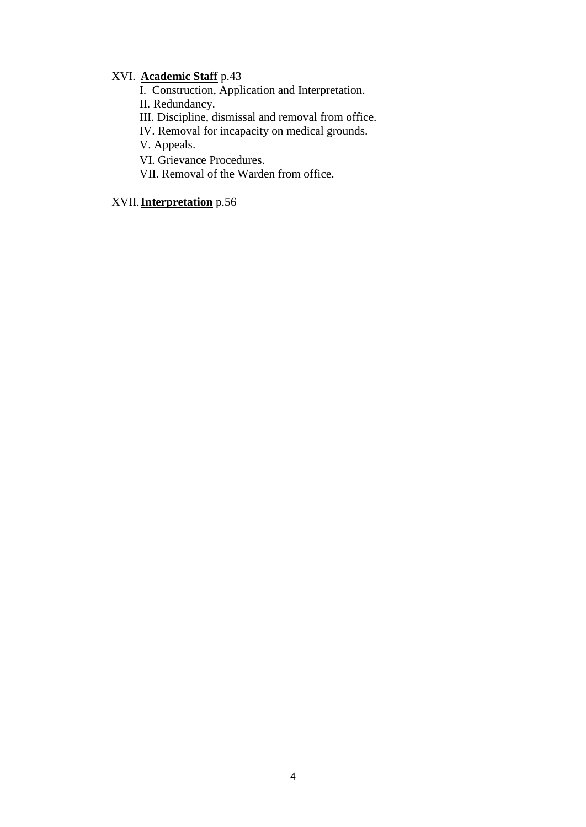# XVI. **Academic Staff** p.43

I. Construction, Application and Interpretation.

II. Redundancy.

III. Discipline, dismissal and removal from office.

IV. Removal for incapacity on medical grounds.

V. Appeals.

VI. Grievance Procedures.

VII. Removal of the Warden from office.

# XVII. **Interpretation** p.56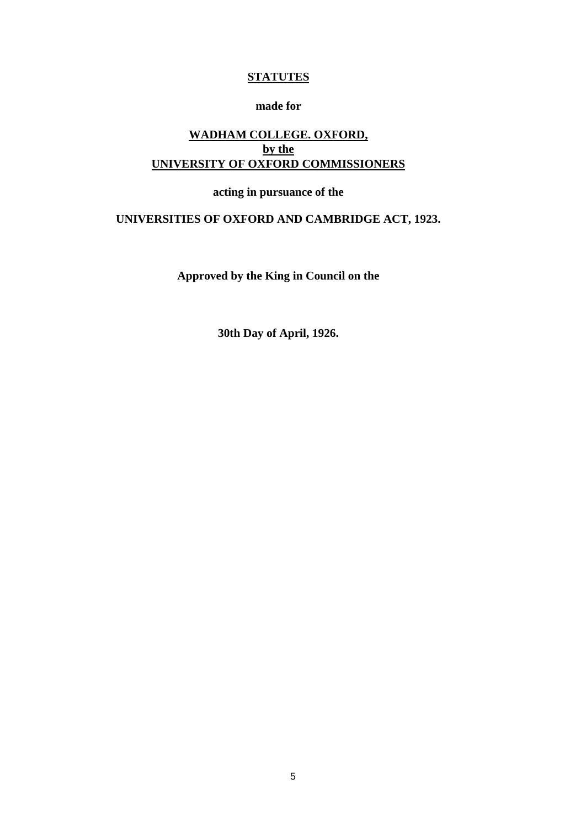# **STATUTES**

# **made for**

# **WADHAM COLLEGE. OXFORD, by the UNIVERSITY OF OXFORD COMMISSIONERS**

# **acting in pursuance of the**

# **UNIVERSITIES OF OXFORD AND CAMBRIDGE ACT, 1923.**

**Approved by the King in Council on the** 

**30th Day of April, 1926.**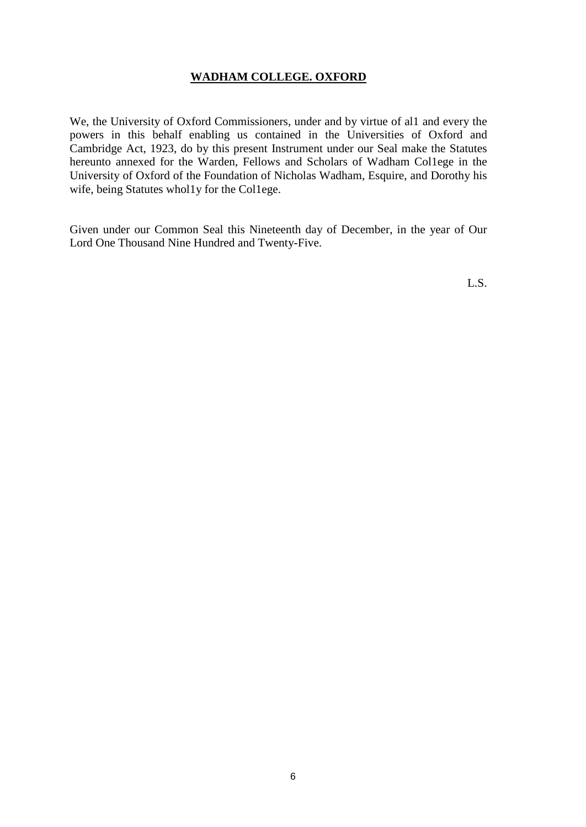# **WADHAM COLLEGE. OXFORD**

We, the University of Oxford Commissioners, under and by virtue of al1 and every the powers in this behalf enabling us contained in the Universities of Oxford and Cambridge Act, 1923, do by this present Instrument under our Seal make the Statutes hereunto annexed for the Warden, Fellows and Scholars of Wadham Col1ege in the University of Oxford of the Foundation of Nicholas Wadham, Esquire, and Dorothy his wife, being Statutes whol1y for the Col1ege.

Given under our Common Seal this Nineteenth day of December, in the year of Our Lord One Thousand Nine Hundred and Twenty-Five.

L.S.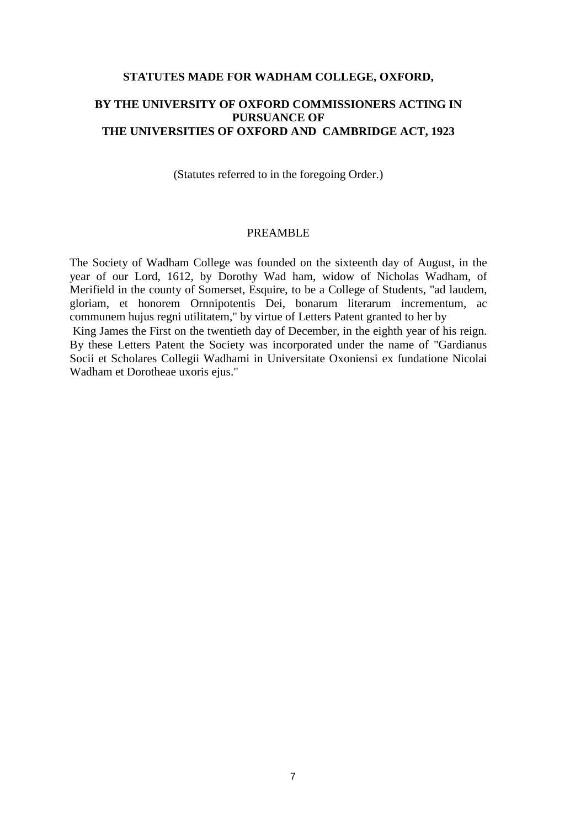#### **STATUTES MADE FOR WADHAM COLLEGE, OXFORD,**

# **BY THE UNIVERSITY OF OXFORD COMMISSIONERS ACTING IN PURSUANCE OF THE UNIVERSITIES OF OXFORD AND CAMBRIDGE ACT, 1923**

(Statutes referred to in the foregoing Order.)

### PREAMBLE

The Society of Wadham College was founded on the sixteenth day of August, in the year of our Lord, 1612, by Dorothy Wad ham, widow of Nicholas Wadham, of Merifield in the county of Somerset, Esquire, to be a College of Students, "ad laudem, gloriam, et honorem Ornnipotentis Dei, bonarum literarum incrementum, ac communem hujus regni utilitatem," by virtue of Letters Patent granted to her by King James the First on the twentieth day of December, in the eighth year of his reign. By these Letters Patent the Society was incorporated under the name of "Gardianus Socii et Scholares Collegii Wadhami in Universitate Oxoniensi ex fundatione Nicolai Wadham et Dorotheae uxoris ejus."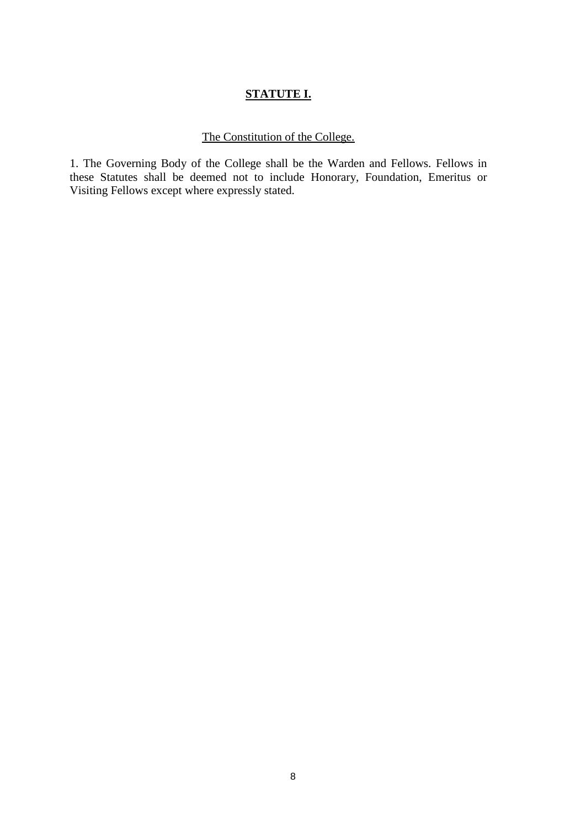# **STATUTE I.**

# The Constitution of the College.

1. The Governing Body of the College shall be the Warden and Fellows. Fellows in these Statutes shall be deemed not to include Honorary, Foundation, Emeritus or Visiting Fellows except where expressly stated.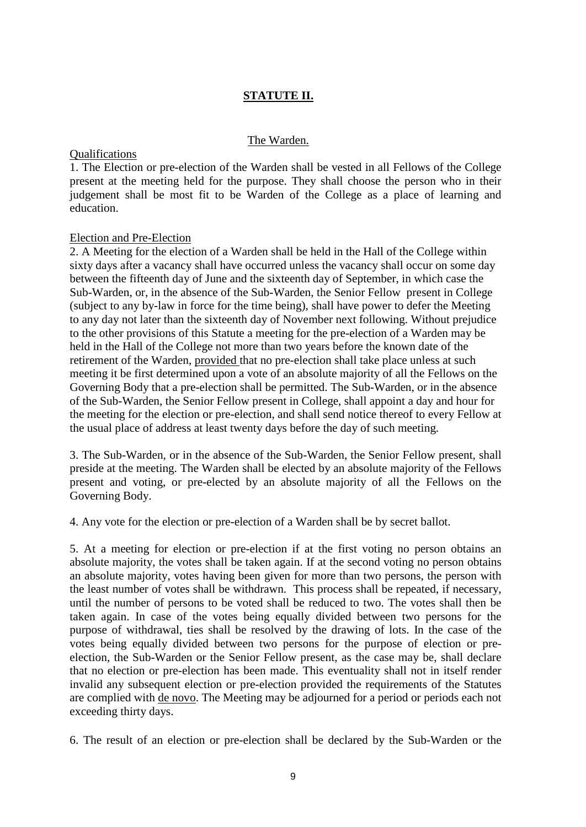# **STATUTE II.**

#### The Warden.

#### Qualifications

1. The Election or pre-election of the Warden shall be vested in all Fellows of the College present at the meeting held for the purpose. They shall choose the person who in their judgement shall be most fit to be Warden of the College as a place of learning and education.

#### Election and Pre-Election

2. A Meeting for the election of a Warden shall be held in the Hall of the College within sixty days after a vacancy shall have occurred unless the vacancy shall occur on some day between the fifteenth day of June and the sixteenth day of September, in which case the Sub-Warden, or, in the absence of the Sub-Warden, the Senior Fellow present in College (subject to any by-law in force for the time being), shall have power to defer the Meeting to any day not later than the sixteenth day of November next following. Without prejudice to the other provisions of this Statute a meeting for the pre-election of a Warden may be held in the Hall of the College not more than two years before the known date of the retirement of the Warden, provided that no pre-election shall take place unless at such meeting it be first determined upon a vote of an absolute majority of all the Fellows on the Governing Body that a pre-election shall be permitted. The Sub-Warden, or in the absence of the Sub-Warden, the Senior Fellow present in College, shall appoint a day and hour for the meeting for the election or pre-election, and shall send notice thereof to every Fellow at the usual place of address at least twenty days before the day of such meeting.

3. The Sub-Warden, or in the absence of the Sub-Warden, the Senior Fellow present, shall preside at the meeting. The Warden shall be elected by an absolute majority of the Fellows present and voting, or pre-elected by an absolute majority of all the Fellows on the Governing Body.

4. Any vote for the election or pre-election of a Warden shall be by secret ballot.

5. At a meeting for election or pre-election if at the first voting no person obtains an absolute majority, the votes shall be taken again. If at the second voting no person obtains an absolute majority, votes having been given for more than two persons, the person with the least number of votes shall be withdrawn. This process shall be repeated, if necessary, until the number of persons to be voted shall be reduced to two. The votes shall then be taken again. In case of the votes being equally divided between two persons for the purpose of withdrawal, ties shall be resolved by the drawing of lots. In the case of the votes being equally divided between two persons for the purpose of election or preelection, the Sub-Warden or the Senior Fellow present, as the case may be, shall declare that no election or pre-election has been made. This eventuality shall not in itself render invalid any subsequent election or pre-election provided the requirements of the Statutes are complied with de novo. The Meeting may be adjourned for a period or periods each not exceeding thirty days.

6. The result of an election or pre-election shall be declared by the Sub-Warden or the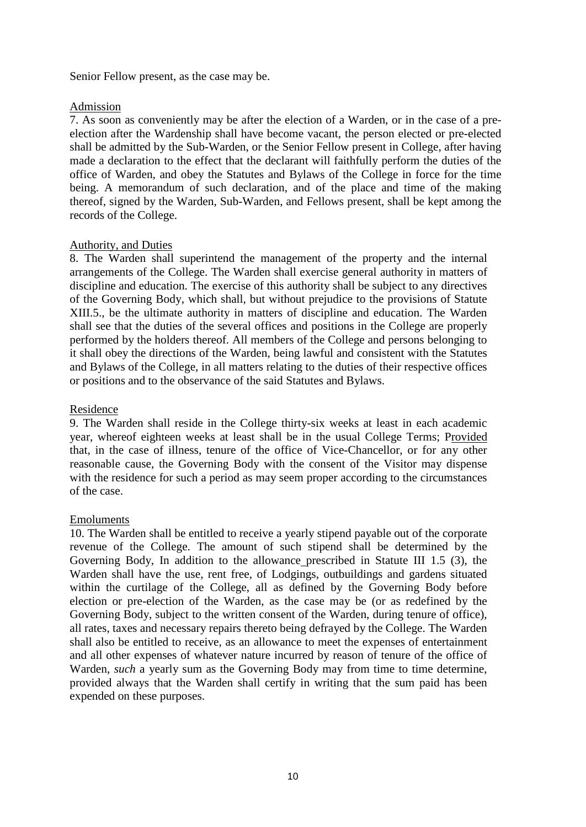### Senior Fellow present, as the case may be.

## Admission

7. As soon as conveniently may be after the election of a Warden, or in the case of a preelection after the Wardenship shall have become vacant, the person elected or pre-elected shall be admitted by the Sub-Warden, or the Senior Fellow present in College, after having made a declaration to the effect that the declarant will faithfully perform the duties of the office of Warden, and obey the Statutes and Bylaws of the College in force for the time being. A memorandum of such declaration, and of the place and time of the making thereof, signed by the Warden, Sub-Warden, and Fellows present, shall be kept among the records of the College.

# Authority, and Duties

8. The Warden shall superintend the management of the property and the internal arrangements of the College. The Warden shall exercise general authority in matters of discipline and education. The exercise of this authority shall be subject to any directives of the Governing Body, which shall, but without prejudice to the provisions of Statute XIII.5., be the ultimate authority in matters of discipline and education. The Warden shall see that the duties of the several offices and positions in the College are properly performed by the holders thereof. All members of the College and persons belonging to it shall obey the directions of the Warden, being lawful and consistent with the Statutes and Bylaws of the College, in all matters relating to the duties of their respective offices or positions and to the observance of the said Statutes and Bylaws.

# Residence

9. The Warden shall reside in the College thirty-six weeks at least in each academic year, whereof eighteen weeks at least shall be in the usual College Terms; Provided that, in the case of illness, tenure of the office of Vice-Chancellor, or for any other reasonable cause, the Governing Body with the consent of the Visitor may dispense with the residence for such a period as may seem proper according to the circumstances of the case.

## Emoluments

10. The Warden shall be entitled to receive a yearly stipend payable out of the corporate revenue of the College. The amount of such stipend shall be determined by the Governing Body, In addition to the allowance prescribed in Statute III 1.5 (3), the Warden shall have the use, rent free, of Lodgings, outbuildings and gardens situated within the curtilage of the College, all as defined by the Governing Body before election or pre-election of the Warden, as the case may be (or as redefined by the Governing Body, subject to the written consent of the Warden, during tenure of office), all rates, taxes and necessary repairs thereto being defrayed by the College. The Warden shall also be entitled to receive, as an allowance to meet the expenses of entertainment and all other expenses of whatever nature incurred by reason of tenure of the office of Warden, *such* a yearly sum as the Governing Body may from time to time determine, provided always that the Warden shall certify in writing that the sum paid has been expended on these purposes.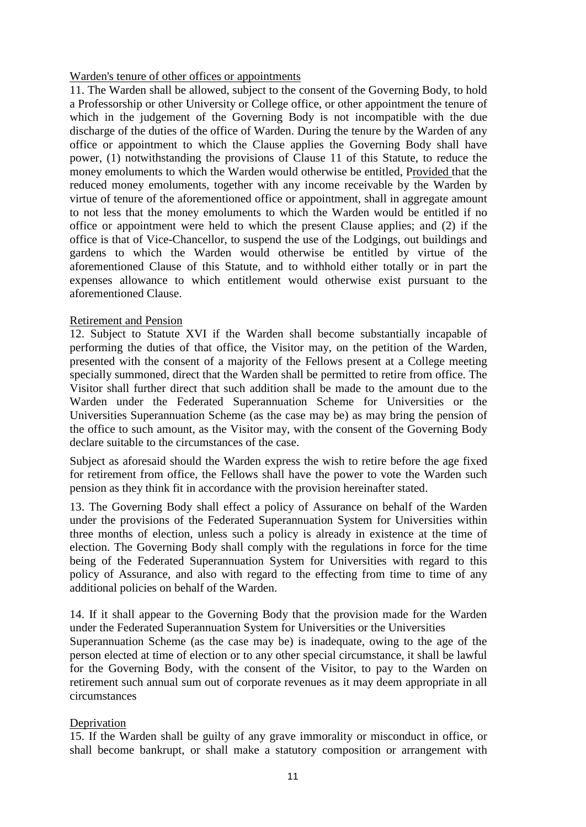## Warden's tenure of other offices or appointments

11. The Warden shall be allowed, subject to the consent of the Governing Body, to hold a Professorship or other University or College office, or other appointment the tenure of which in the judgement of the Governing Body is not incompatible with the due discharge of the duties of the office of Warden. During the tenure by the Warden of any office or appointment to which the Clause applies the Governing Body shall have power, (1) notwithstanding the provisions of Clause 11 of this Statute, to reduce the money emoluments to which the Warden would otherwise be entitled, Provided that the reduced money emoluments, together with any income receivable by the Warden by virtue of tenure of the aforementioned office or appointment, shall in aggregate amount to not less that the money emoluments to which the Warden would be entitled if no office or appointment were held to which the present Clause applies; and (2) if the office is that of Vice-Chancellor, to suspend the use of the Lodgings, out buildings and gardens to which the Warden would otherwise be entitled by virtue of the aforementioned Clause of this Statute, and to withhold either totally or in part the expenses allowance to which entitlement would otherwise exist pursuant to the aforementioned Clause.

### Retirement and Pension

12. Subject to Statute XVI if the Warden shall become substantially incapable of performing the duties of that office, the Visitor may, on the petition of the Warden, presented with the consent of a majority of the Fellows present at a College meeting specially summoned, direct that the Warden shall be permitted to retire from office. The Visitor shall further direct that such addition shall be made to the amount due to the Warden under the Federated Superannuation Scheme for Universities or the Universities Superannuation Scheme (as the case may be) as may bring the pension of the office to such amount, as the Visitor may, with the consent of the Governing Body declare suitable to the circumstances of the case.

Subject as aforesaid should the Warden express the wish to retire before the age fixed for retirement from office, the Fellows shall have the power to vote the Warden such pension as they think fit in accordance with the provision hereinafter stated.

13. The Governing Body shall effect a policy of Assurance on behalf of the Warden under the provisions of the Federated Superannuation System for Universities within three months of election, unless such a policy is already in existence at the time of election. The Governing Body shall comply with the regulations in force for the time being of the Federated Superannuation System for Universities with regard to this policy of Assurance, and also with regard to the effecting from time to time of any additional policies on behalf of the Warden.

14. If it shall appear to the Governing Body that the provision made for the Warden under the Federated Superannuation System for Universities or the Universities Superannuation Scheme (as the case may be) is inadequate, owing to the age of the person elected at time of election or to any other special circumstance, it shall be lawful for the Governing Body, with the consent of the Visitor, to pay to the Warden on retirement such annual sum out of corporate revenues as it may deem appropriate in all circumstances

## Deprivation

15. If the Warden shall be guilty of any grave immorality or misconduct in office, or shall become bankrupt, or shall make a statutory composition or arrangement with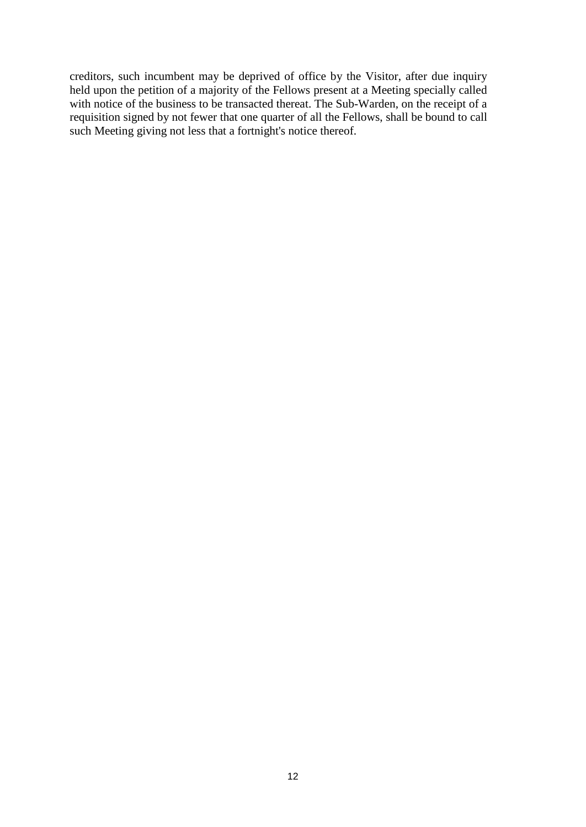creditors, such incumbent may be deprived of office by the Visitor, after due inquiry held upon the petition of a majority of the Fellows present at a Meeting specially called with notice of the business to be transacted thereat. The Sub-Warden, on the receipt of a requisition signed by not fewer that one quarter of all the Fellows, shall be bound to call such Meeting giving not less that a fortnight's notice thereof.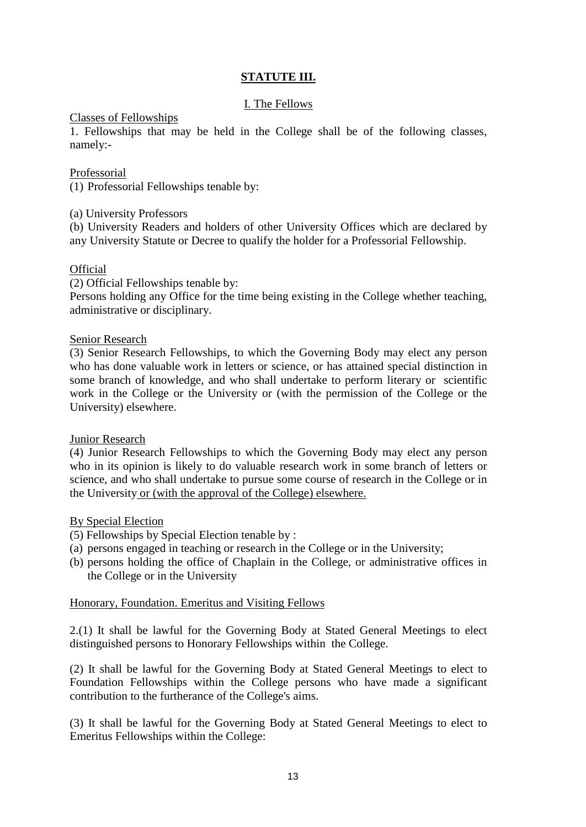# **STATUTE III.**

# I. The Fellows

### Classes of Fellowships

1. Fellowships that may be held in the College shall be of the following classes, namely:-

## Professorial

(1) Professorial Fellowships tenable by:

(a) University Professors

(b) University Readers and holders of other University Offices which are declared by any University Statute or Decree to qualify the holder for a Professorial Fellowship.

## **Official**

(2) Official Fellowships tenable by:

Persons holding any Office for the time being existing in the College whether teaching, administrative or disciplinary.

### Senior Research

(3) Senior Research Fellowships, to which the Governing Body may elect any person who has done valuable work in letters or science, or has attained special distinction in some branch of knowledge, and who shall undertake to perform literary or scientific work in the College or the University or (with the permission of the College or the University) elsewhere.

#### Junior Research

(4) Junior Research Fellowships to which the Governing Body may elect any person who in its opinion is likely to do valuable research work in some branch of letters or science, and who shall undertake to pursue some course of research in the College or in the University or (with the approval of the College) elsewhere.

## By Special Election

- (5) Fellowships by Special Election tenable by :
- (a) persons engaged in teaching or research in the College or in the University;
- (b) persons holding the office of Chaplain in the College, or administrative offices in the College or in the University

# Honorary, Foundation. Emeritus and Visiting Fellows

2.(1) It shall be lawful for the Governing Body at Stated General Meetings to elect distinguished persons to Honorary Fellowships within the College.

(2) It shall be lawful for the Governing Body at Stated General Meetings to elect to Foundation Fellowships within the College persons who have made a significant contribution to the furtherance of the College's aims.

(3) It shall be lawful for the Governing Body at Stated General Meetings to elect to Emeritus Fellowships within the College: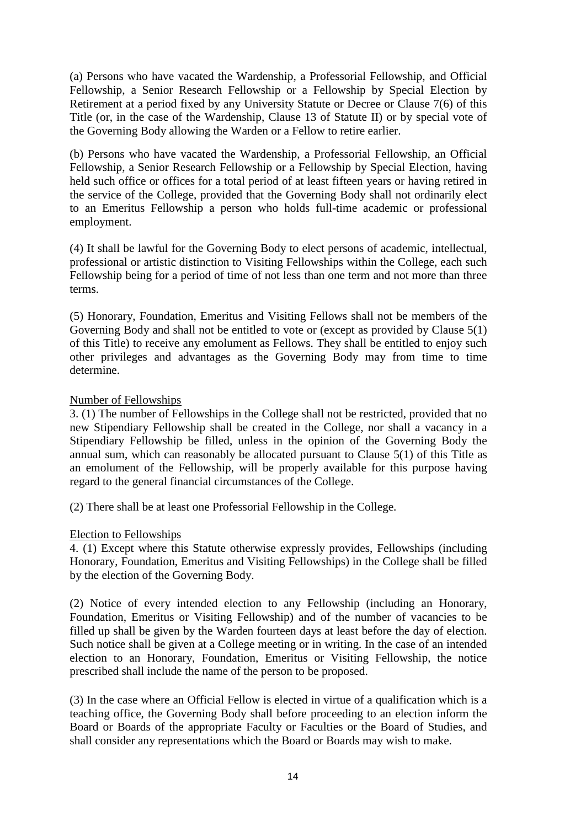(a) Persons who have vacated the Wardenship, a Professorial Fellowship, and Official Fellowship, a Senior Research Fellowship or a Fellowship by Special Election by Retirement at a period fixed by any University Statute or Decree or Clause 7(6) of this Title (or, in the case of the Wardenship, Clause 13 of Statute II) or by special vote of the Governing Body allowing the Warden or a Fellow to retire earlier.

(b) Persons who have vacated the Wardenship, a Professorial Fellowship, an Official Fellowship, a Senior Research Fellowship or a Fellowship by Special Election, having held such office or offices for a total period of at least fifteen years or having retired in the service of the College, provided that the Governing Body shall not ordinarily elect to an Emeritus Fellowship a person who holds full-time academic or professional employment.

(4) It shall be lawful for the Governing Body to elect persons of academic, intellectual, professional or artistic distinction to Visiting Fellowships within the College, each such Fellowship being for a period of time of not less than one term and not more than three terms.

(5) Honorary, Foundation, Emeritus and Visiting Fellows shall not be members of the Governing Body and shall not be entitled to vote or (except as provided by Clause 5(1) of this Title) to receive any emolument as Fellows. They shall be entitled to enjoy such other privileges and advantages as the Governing Body may from time to time determine.

# Number of Fellowships

3. (1) The number of Fellowships in the College shall not be restricted, provided that no new Stipendiary Fellowship shall be created in the College, nor shall a vacancy in a Stipendiary Fellowship be filled, unless in the opinion of the Governing Body the annual sum, which can reasonably be allocated pursuant to Clause 5(1) of this Title as an emolument of the Fellowship, will be properly available for this purpose having regard to the general financial circumstances of the College.

(2) There shall be at least one Professorial Fellowship in the College.

# Election to Fellowships

4. (1) Except where this Statute otherwise expressly provides, Fellowships (including Honorary, Foundation, Emeritus and Visiting Fellowships) in the College shall be filled by the election of the Governing Body.

(2) Notice of every intended election to any Fellowship (including an Honorary, Foundation, Emeritus or Visiting Fellowship) and of the number of vacancies to be filled up shall be given by the Warden fourteen days at least before the day of election. Such notice shall be given at a College meeting or in writing. In the case of an intended election to an Honorary, Foundation, Emeritus or Visiting Fellowship, the notice prescribed shall include the name of the person to be proposed.

(3) In the case where an Official Fellow is elected in virtue of a qualification which is a teaching office, the Governing Body shall before proceeding to an election inform the Board or Boards of the appropriate Faculty or Faculties or the Board of Studies, and shall consider any representations which the Board or Boards may wish to make.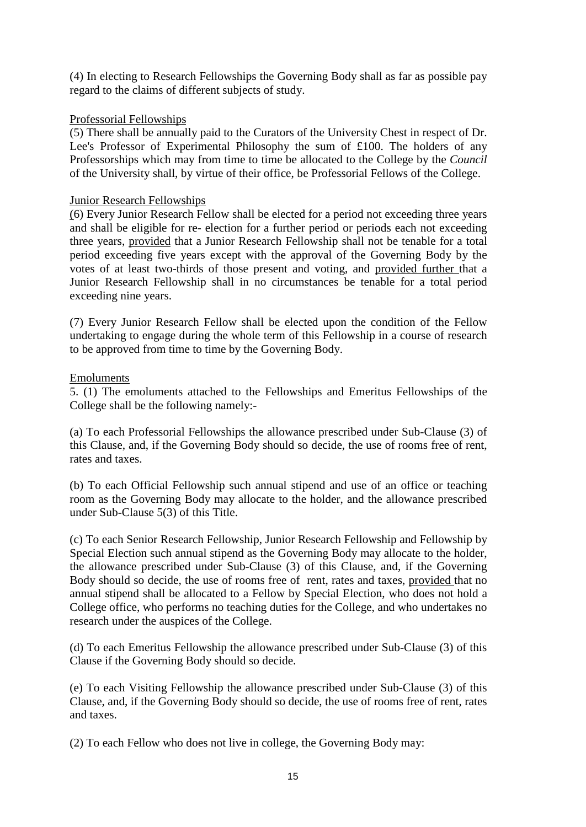(4) In electing to Research Fellowships the Governing Body shall as far as possible pay regard to the claims of different subjects of study.

# Professorial Fellowships

(5) There shall be annually paid to the Curators of the University Chest in respect of Dr. Lee's Professor of Experimental Philosophy the sum of £100. The holders of any Professorships which may from time to time be allocated to the College by the *Council*  of the University shall, by virtue of their office, be Professorial Fellows of the College.

# Junior Research Fellowships

(6) Every Junior Research Fellow shall be elected for a period not exceeding three years and shall be eligible for re- election for a further period or periods each not exceeding three years, provided that a Junior Research Fellowship shall not be tenable for a total period exceeding five years except with the approval of the Governing Body by the votes of at least two-thirds of those present and voting, and provided further that a Junior Research Fellowship shall in no circumstances be tenable for a total period exceeding nine years.

(7) Every Junior Research Fellow shall be elected upon the condition of the Fellow undertaking to engage during the whole term of this Fellowship in a course of research to be approved from time to time by the Governing Body.

# Emoluments

5. (1) The emoluments attached to the Fellowships and Emeritus Fellowships of the College shall be the following namely:-

(a) To each Professorial Fellowships the allowance prescribed under Sub-Clause (3) of this Clause, and, if the Governing Body should so decide, the use of rooms free of rent, rates and taxes.

(b) To each Official Fellowship such annual stipend and use of an office or teaching room as the Governing Body may allocate to the holder, and the allowance prescribed under Sub-Clause 5(3) of this Title.

(c) To each Senior Research Fellowship, Junior Research Fellowship and Fellowship by Special Election such annual stipend as the Governing Body may allocate to the holder, the allowance prescribed under Sub-Clause (3) of this Clause, and, if the Governing Body should so decide, the use of rooms free of rent, rates and taxes, provided that no annual stipend shall be allocated to a Fellow by Special Election, who does not hold a College office, who performs no teaching duties for the College, and who undertakes no research under the auspices of the College.

(d) To each Emeritus Fellowship the allowance prescribed under Sub-Clause (3) of this Clause if the Governing Body should so decide.

(e) To each Visiting Fellowship the allowance prescribed under Sub-Clause (3) of this Clause, and, if the Governing Body should so decide, the use of rooms free of rent, rates and taxes.

(2) To each Fellow who does not live in college, the Governing Body may: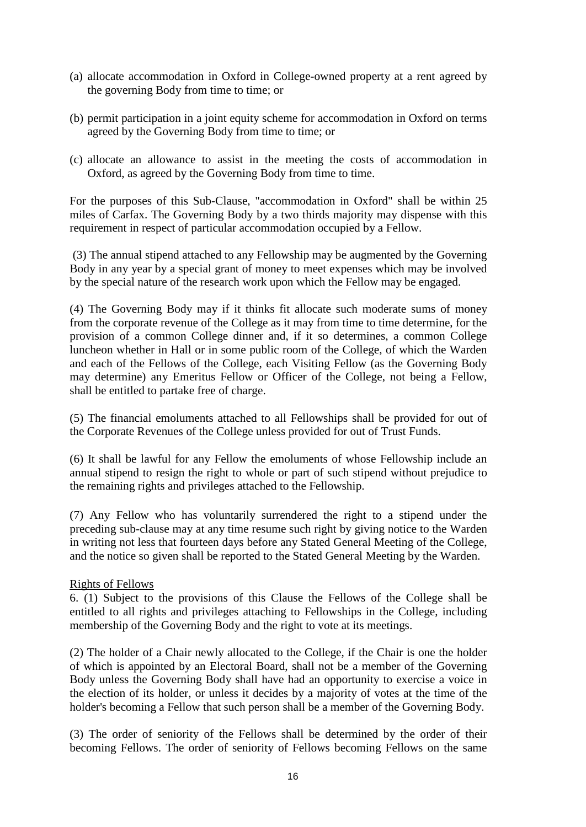- (a) allocate accommodation in Oxford in College-owned property at a rent agreed by the governing Body from time to time; or
- (b) permit participation in a joint equity scheme for accommodation in Oxford on terms agreed by the Governing Body from time to time; or
- (c) allocate an allowance to assist in the meeting the costs of accommodation in Oxford, as agreed by the Governing Body from time to time.

For the purposes of this Sub-Clause, "accommodation in Oxford" shall be within 25 miles of Carfax. The Governing Body by a two thirds majority may dispense with this requirement in respect of particular accommodation occupied by a Fellow.

 (3) The annual stipend attached to any Fellowship may be augmented by the Governing Body in any year by a special grant of money to meet expenses which may be involved by the special nature of the research work upon which the Fellow may be engaged.

(4) The Governing Body may if it thinks fit allocate such moderate sums of money from the corporate revenue of the College as it may from time to time determine, for the provision of a common College dinner and, if it so determines, a common College luncheon whether in Hall or in some public room of the College, of which the Warden and each of the Fellows of the College, each Visiting Fellow (as the Governing Body may determine) any Emeritus Fellow or Officer of the College, not being a Fellow, shall be entitled to partake free of charge.

(5) The financial emoluments attached to all Fellowships shall be provided for out of the Corporate Revenues of the College unless provided for out of Trust Funds.

(6) It shall be lawful for any Fellow the emoluments of whose Fellowship include an annual stipend to resign the right to whole or part of such stipend without prejudice to the remaining rights and privileges attached to the Fellowship.

(7) Any Fellow who has voluntarily surrendered the right to a stipend under the preceding sub-clause may at any time resume such right by giving notice to the Warden in writing not less that fourteen days before any Stated General Meeting of the College, and the notice so given shall be reported to the Stated General Meeting by the Warden.

## Rights of Fellows

6. (1) Subject to the provisions of this Clause the Fellows of the College shall be entitled to all rights and privileges attaching to Fellowships in the College, including membership of the Governing Body and the right to vote at its meetings.

(2) The holder of a Chair newly allocated to the College, if the Chair is one the holder of which is appointed by an Electoral Board, shall not be a member of the Governing Body unless the Governing Body shall have had an opportunity to exercise a voice in the election of its holder, or unless it decides by a majority of votes at the time of the holder's becoming a Fellow that such person shall be a member of the Governing Body.

(3) The order of seniority of the Fellows shall be determined by the order of their becoming Fellows. The order of seniority of Fellows becoming Fellows on the same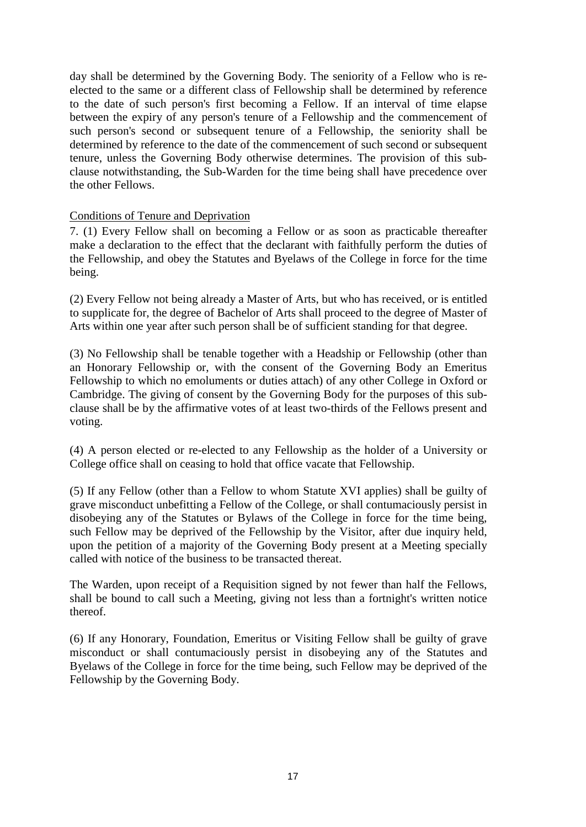day shall be determined by the Governing Body. The seniority of a Fellow who is reelected to the same or a different class of Fellowship shall be determined by reference to the date of such person's first becoming a Fellow. If an interval of time elapse between the expiry of any person's tenure of a Fellowship and the commencement of such person's second or subsequent tenure of a Fellowship, the seniority shall be determined by reference to the date of the commencement of such second or subsequent tenure, unless the Governing Body otherwise determines. The provision of this subclause notwithstanding, the Sub-Warden for the time being shall have precedence over the other Fellows.

# Conditions of Tenure and Deprivation

7. (1) Every Fellow shall on becoming a Fellow or as soon as practicable thereafter make a declaration to the effect that the declarant with faithfully perform the duties of the Fellowship, and obey the Statutes and Byelaws of the College in force for the time being.

(2) Every Fellow not being already a Master of Arts, but who has received, or is entitled to supplicate for, the degree of Bachelor of Arts shall proceed to the degree of Master of Arts within one year after such person shall be of sufficient standing for that degree.

(3) No Fellowship shall be tenable together with a Headship or Fellowship (other than an Honorary Fellowship or, with the consent of the Governing Body an Emeritus Fellowship to which no emoluments or duties attach) of any other College in Oxford or Cambridge. The giving of consent by the Governing Body for the purposes of this subclause shall be by the affirmative votes of at least two-thirds of the Fellows present and voting.

(4) A person elected or re-elected to any Fellowship as the holder of a University or College office shall on ceasing to hold that office vacate that Fellowship.

(5) If any Fellow (other than a Fellow to whom Statute XVI applies) shall be guilty of grave misconduct unbefitting a Fellow of the College, or shall contumaciously persist in disobeying any of the Statutes or Bylaws of the College in force for the time being, such Fellow may be deprived of the Fellowship by the Visitor, after due inquiry held, upon the petition of a majority of the Governing Body present at a Meeting specially called with notice of the business to be transacted thereat.

The Warden, upon receipt of a Requisition signed by not fewer than half the Fellows, shall be bound to call such a Meeting, giving not less than a fortnight's written notice thereof.

(6) If any Honorary, Foundation, Emeritus or Visiting Fellow shall be guilty of grave misconduct or shall contumaciously persist in disobeying any of the Statutes and Byelaws of the College in force for the time being, such Fellow may be deprived of the Fellowship by the Governing Body.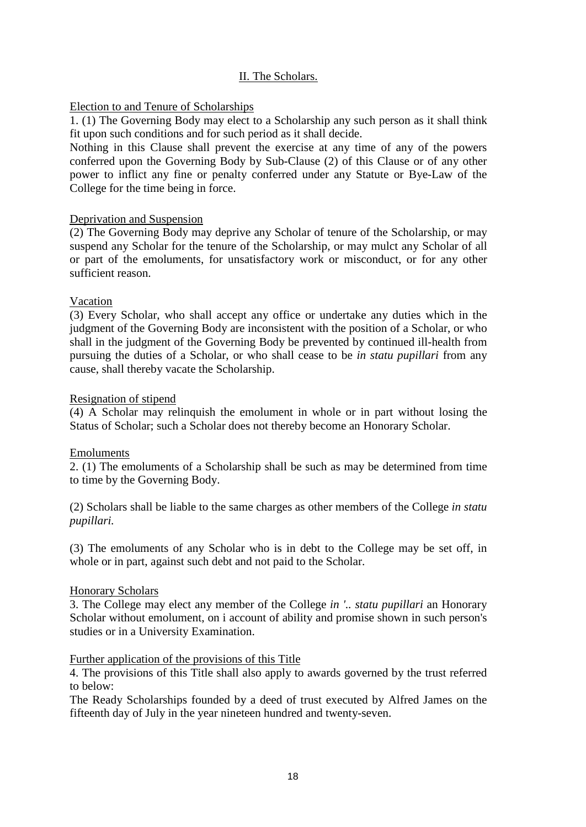# II. The Scholars.

# Election to and Tenure of Scholarships

1. (1) The Governing Body may elect to a Scholarship any such person as it shall think fit upon such conditions and for such period as it shall decide.

Nothing in this Clause shall prevent the exercise at any time of any of the powers conferred upon the Governing Body by Sub-Clause (2) of this Clause or of any other power to inflict any fine or penalty conferred under any Statute or Bye-Law of the College for the time being in force.

# Deprivation and Suspension

(2) The Governing Body may deprive any Scholar of tenure of the Scholarship, or may suspend any Scholar for the tenure of the Scholarship, or may mulct any Scholar of all or part of the emoluments, for unsatisfactory work or misconduct, or for any other sufficient reason.

## Vacation

(3) Every Scholar, who shall accept any office or undertake any duties which in the judgment of the Governing Body are inconsistent with the position of a Scholar, or who shall in the judgment of the Governing Body be prevented by continued ill-health from pursuing the duties of a Scholar, or who shall cease to be *in statu pupillari* from any cause, shall thereby vacate the Scholarship.

# Resignation of stipend

(4) A Scholar may relinquish the emolument in whole or in part without losing the Status of Scholar; such a Scholar does not thereby become an Honorary Scholar.

## Emoluments

2. (1) The emoluments of a Scholarship shall be such as may be determined from time to time by the Governing Body.

(2) Scholars shall be liable to the same charges as other members of the College *in statu pupillari.* 

(3) The emoluments of any Scholar who is in debt to the College may be set off, in whole or in part, against such debt and not paid to the Scholar.

## Honorary Scholars

3. The College may elect any member of the College *in '.. statu pupillari* an Honorary Scholar without emolument, on i account of ability and promise shown in such person's studies or in a University Examination.

## Further application of the provisions of this Title

4. The provisions of this Title shall also apply to awards governed by the trust referred to below:

The Ready Scholarships founded by a deed of trust executed by Alfred James on the fifteenth day of July in the year nineteen hundred and twenty-seven.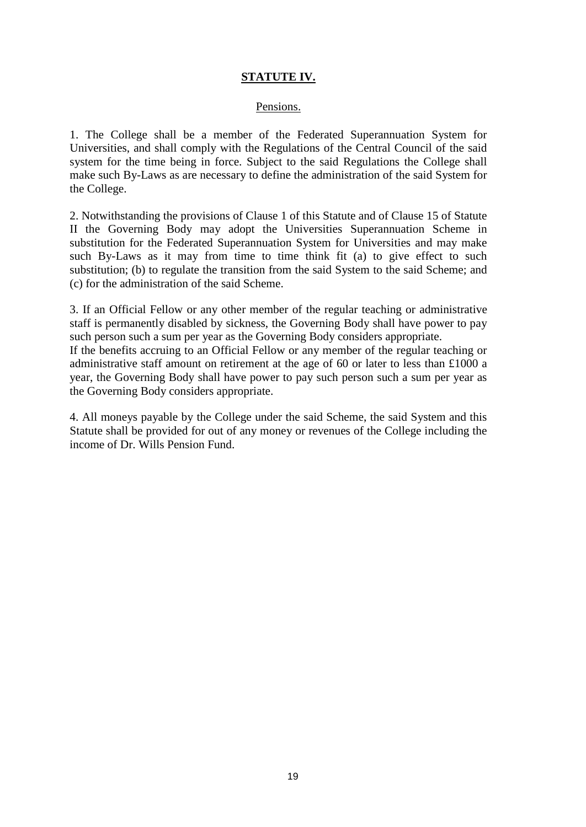# **STATUTE IV.**

### Pensions.

1. The College shall be a member of the Federated Superannuation System for Universities, and shall comply with the Regulations of the Central Council of the said system for the time being in force. Subject to the said Regulations the College shall make such By-Laws as are necessary to define the administration of the said System for the College.

2. Notwithstanding the provisions of Clause 1 of this Statute and of Clause 15 of Statute II the Governing Body may adopt the Universities Superannuation Scheme in substitution for the Federated Superannuation System for Universities and may make such By-Laws as it may from time to time think fit (a) to give effect to such substitution; (b) to regulate the transition from the said System to the said Scheme; and (c) for the administration of the said Scheme.

3. If an Official Fellow or any other member of the regular teaching or administrative staff is permanently disabled by sickness, the Governing Body shall have power to pay such person such a sum per year as the Governing Body considers appropriate. If the benefits accruing to an Official Fellow or any member of the regular teaching or

administrative staff amount on retirement at the age of 60 or later to less than £1000 a year, the Governing Body shall have power to pay such person such a sum per year as the Governing Body considers appropriate.

4. All moneys payable by the College under the said Scheme, the said System and this Statute shall be provided for out of any money or revenues of the College including the income of Dr. Wills Pension Fund.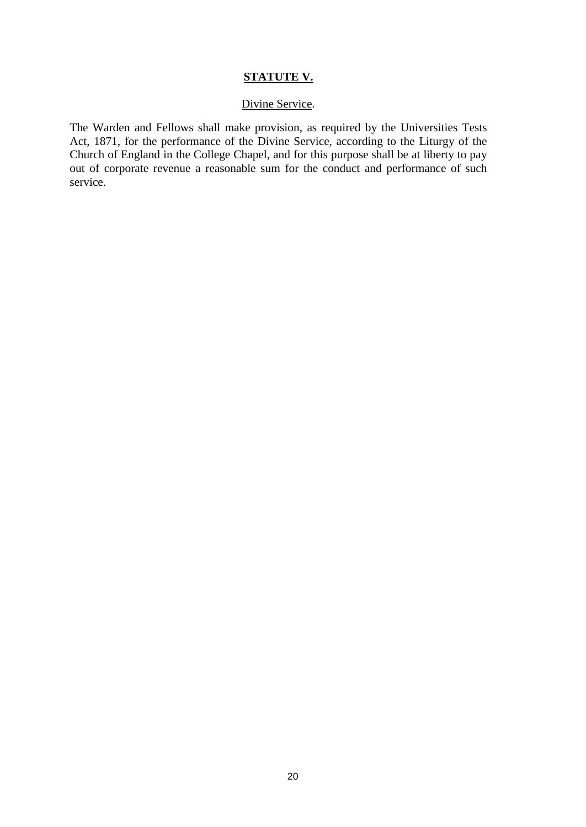#### **STATUTE V.**

### Divine Service.

The Warden and Fellows shall make provision, as required by the Universities Tests Act, 1871, for the performance of the Divine Service, according to the Liturgy of the Church of England in the College Chapel, and for this purpose shall be at liberty to pay out of corporate revenue a reasonable sum for the conduct and performance of such service.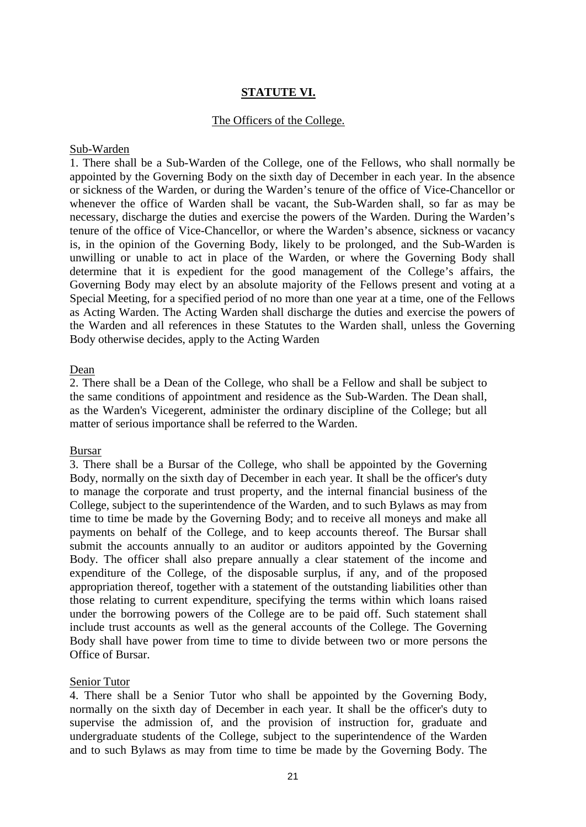# **STATUTE VI.**

### The Officers of the College.

#### Sub-Warden

1. There shall be a Sub-Warden of the College, one of the Fellows, who shall normally be appointed by the Governing Body on the sixth day of December in each year. In the absence or sickness of the Warden, or during the Warden's tenure of the office of Vice-Chancellor or whenever the office of Warden shall be vacant, the Sub-Warden shall, so far as may be necessary, discharge the duties and exercise the powers of the Warden. During the Warden's tenure of the office of Vice-Chancellor, or where the Warden's absence, sickness or vacancy is, in the opinion of the Governing Body, likely to be prolonged, and the Sub-Warden is unwilling or unable to act in place of the Warden, or where the Governing Body shall determine that it is expedient for the good management of the College's affairs, the Governing Body may elect by an absolute majority of the Fellows present and voting at a Special Meeting, for a specified period of no more than one year at a time, one of the Fellows as Acting Warden. The Acting Warden shall discharge the duties and exercise the powers of the Warden and all references in these Statutes to the Warden shall, unless the Governing Body otherwise decides, apply to the Acting Warden

#### Dean

2. There shall be a Dean of the College, who shall be a Fellow and shall be subject to the same conditions of appointment and residence as the Sub-Warden. The Dean shall, as the Warden's Vicegerent, administer the ordinary discipline of the College; but all matter of serious importance shall be referred to the Warden.

#### Bursar

3. There shall be a Bursar of the College, who shall be appointed by the Governing Body, normally on the sixth day of December in each year. It shall be the officer's duty to manage the corporate and trust property, and the internal financial business of the College, subject to the superintendence of the Warden, and to such Bylaws as may from time to time be made by the Governing Body; and to receive all moneys and make all payments on behalf of the College, and to keep accounts thereof. The Bursar shall submit the accounts annually to an auditor or auditors appointed by the Governing Body. The officer shall also prepare annually a clear statement of the income and expenditure of the College, of the disposable surplus, if any, and of the proposed appropriation thereof, together with a statement of the outstanding liabilities other than those relating to current expenditure, specifying the terms within which loans raised under the borrowing powers of the College are to be paid off. Such statement shall include trust accounts as well as the general accounts of the College. The Governing Body shall have power from time to time to divide between two or more persons the Office of Bursar.

#### Senior Tutor

4. There shall be a Senior Tutor who shall be appointed by the Governing Body, normally on the sixth day of December in each year. It shall be the officer's duty to supervise the admission of, and the provision of instruction for, graduate and undergraduate students of the College, subject to the superintendence of the Warden and to such Bylaws as may from time to time be made by the Governing Body. The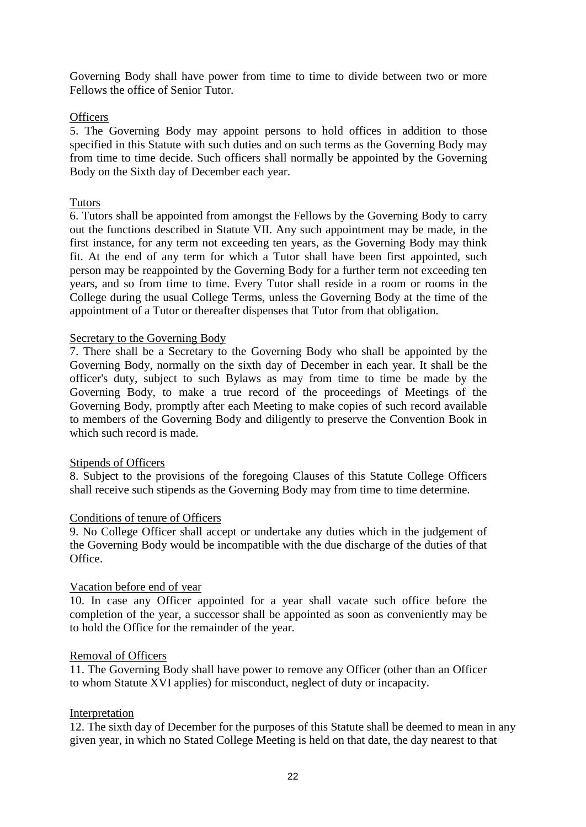Governing Body shall have power from time to time to divide between two or more Fellows the office of Senior Tutor.

# **Officers**

5. The Governing Body may appoint persons to hold offices in addition to those specified in this Statute with such duties and on such terms as the Governing Body may from time to time decide. Such officers shall normally be appointed by the Governing Body on the Sixth day of December each year.

# Tutors

6. Tutors shall be appointed from amongst the Fellows by the Governing Body to carry out the functions described in Statute VII. Any such appointment may be made, in the first instance, for any term not exceeding ten years, as the Governing Body may think fit. At the end of any term for which a Tutor shall have been first appointed, such person may be reappointed by the Governing Body for a further term not exceeding ten years, and so from time to time. Every Tutor shall reside in a room or rooms in the College during the usual College Terms, unless the Governing Body at the time of the appointment of a Tutor or thereafter dispenses that Tutor from that obligation.

## Secretary to the Governing Body

7. There shall be a Secretary to the Governing Body who shall be appointed by the Governing Body, normally on the sixth day of December in each year. It shall be the officer's duty, subject to such Bylaws as may from time to time be made by the Governing Body, to make a true record of the proceedings of Meetings of the Governing Body, promptly after each Meeting to make copies of such record available to members of the Governing Body and diligently to preserve the Convention Book in which such record is made.

## Stipends of Officers

8. Subject to the provisions of the foregoing Clauses of this Statute College Officers shall receive such stipends as the Governing Body may from time to time determine.

## Conditions of tenure of Officers

9. No College Officer shall accept or undertake any duties which in the judgement of the Governing Body would be incompatible with the due discharge of the duties of that Office.

## Vacation before end of year

10. In case any Officer appointed for a year shall vacate such office before the completion of the year, a successor shall be appointed as soon as conveniently may be to hold the Office for the remainder of the year.

## Removal of Officers

11. The Governing Body shall have power to remove any Officer (other than an Officer to whom Statute XVI applies) for misconduct, neglect of duty or incapacity.

## Interpretation

12. The sixth day of December for the purposes of this Statute shall be deemed to mean in any given year, in which no Stated College Meeting is held on that date, the day nearest to that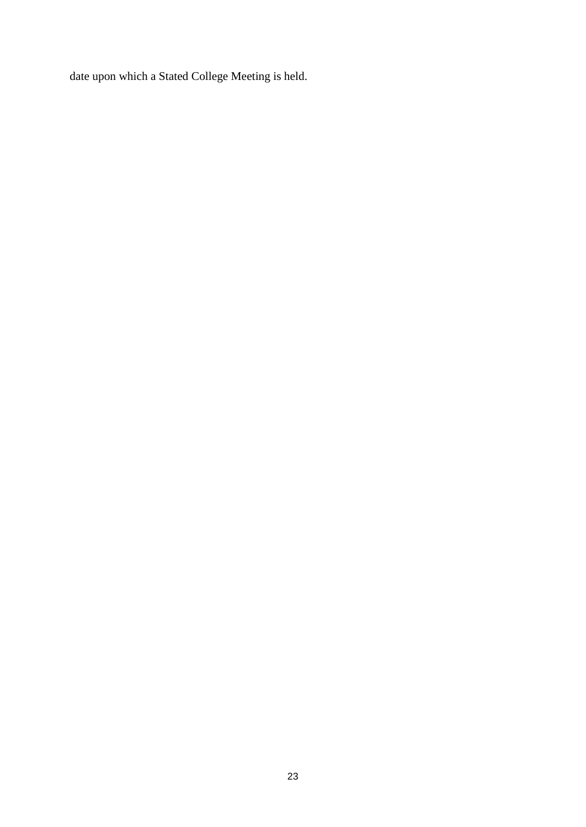date upon which a Stated College Meeting is held.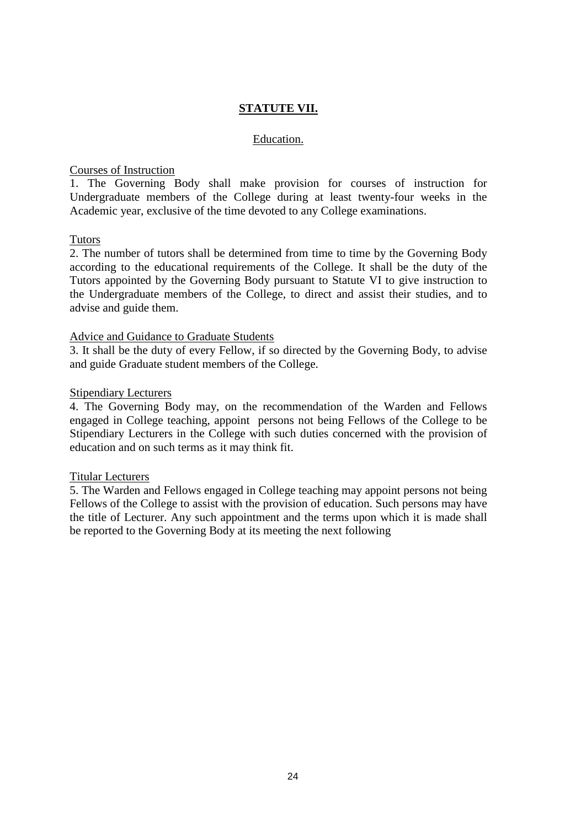# **STATUTE VII.**

#### Education.

### Courses of Instruction

1. The Governing Body shall make provision for courses of instruction for Undergraduate members of the College during at least twenty-four weeks in the Academic year, exclusive of the time devoted to any College examinations.

## Tutors

2. The number of tutors shall be determined from time to time by the Governing Body according to the educational requirements of the College. It shall be the duty of the Tutors appointed by the Governing Body pursuant to Statute VI to give instruction to the Undergraduate members of the College, to direct and assist their studies, and to advise and guide them.

### Advice and Guidance to Graduate Students

3. It shall be the duty of every Fellow, if so directed by the Governing Body, to advise and guide Graduate student members of the College.

### Stipendiary Lecturers

4. The Governing Body may, on the recommendation of the Warden and Fellows engaged in College teaching, appoint persons not being Fellows of the College to be Stipendiary Lecturers in the College with such duties concerned with the provision of education and on such terms as it may think fit.

#### Titular Lecturers

5. The Warden and Fellows engaged in College teaching may appoint persons not being Fellows of the College to assist with the provision of education. Such persons may have the title of Lecturer. Any such appointment and the terms upon which it is made shall be reported to the Governing Body at its meeting the next following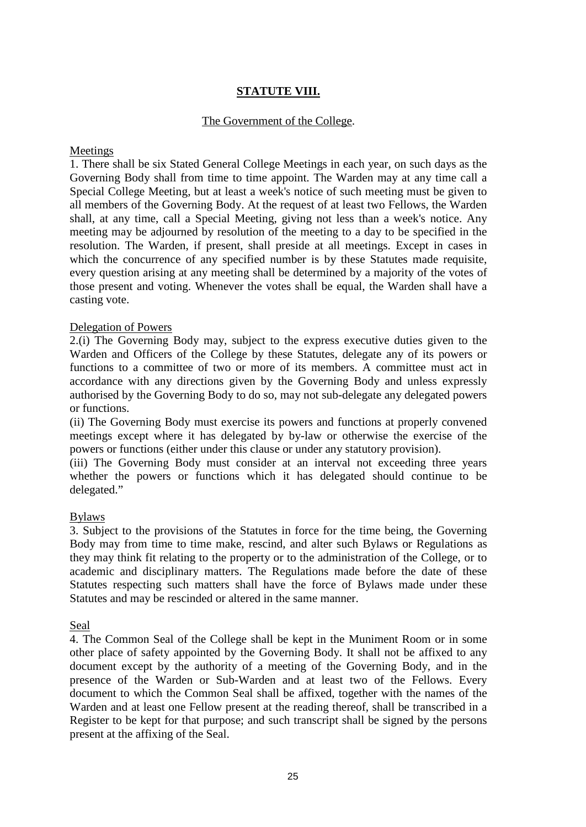# **STATUTE VIII.**

# The Government of the College.

### Meetings

1. There shall be six Stated General College Meetings in each year, on such days as the Governing Body shall from time to time appoint. The Warden may at any time call a Special College Meeting, but at least a week's notice of such meeting must be given to all members of the Governing Body. At the request of at least two Fellows, the Warden shall, at any time, call a Special Meeting, giving not less than a week's notice. Any meeting may be adjourned by resolution of the meeting to a day to be specified in the resolution. The Warden, if present, shall preside at all meetings. Except in cases in which the concurrence of any specified number is by these Statutes made requisite, every question arising at any meeting shall be determined by a majority of the votes of those present and voting. Whenever the votes shall be equal, the Warden shall have a casting vote.

## Delegation of Powers

2.(i) The Governing Body may, subject to the express executive duties given to the Warden and Officers of the College by these Statutes, delegate any of its powers or functions to a committee of two or more of its members. A committee must act in accordance with any directions given by the Governing Body and unless expressly authorised by the Governing Body to do so, may not sub-delegate any delegated powers or functions.

(ii) The Governing Body must exercise its powers and functions at properly convened meetings except where it has delegated by by-law or otherwise the exercise of the powers or functions (either under this clause or under any statutory provision).

(iii) The Governing Body must consider at an interval not exceeding three years whether the powers or functions which it has delegated should continue to be delegated."

## Bylaws

3. Subject to the provisions of the Statutes in force for the time being, the Governing Body may from time to time make, rescind, and alter such Bylaws or Regulations as they may think fit relating to the property or to the administration of the College, or to academic and disciplinary matters. The Regulations made before the date of these Statutes respecting such matters shall have the force of Bylaws made under these Statutes and may be rescinded or altered in the same manner.

## Seal

4. The Common Seal of the College shall be kept in the Muniment Room or in some other place of safety appointed by the Governing Body. It shall not be affixed to any document except by the authority of a meeting of the Governing Body, and in the presence of the Warden or Sub-Warden and at least two of the Fellows. Every document to which the Common Seal shall be affixed, together with the names of the Warden and at least one Fellow present at the reading thereof, shall be transcribed in a Register to be kept for that purpose; and such transcript shall be signed by the persons present at the affixing of the Seal.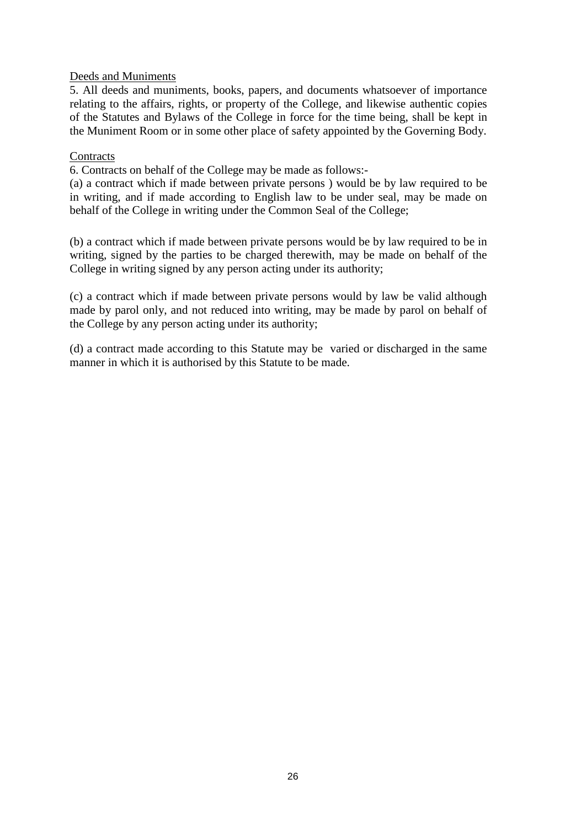# Deeds and Muniments

5. All deeds and muniments, books, papers, and documents whatsoever of importance relating to the affairs, rights, or property of the College, and likewise authentic copies of the Statutes and Bylaws of the College in force for the time being, shall be kept in the Muniment Room or in some other place of safety appointed by the Governing Body.

## **Contracts**

6. Contracts on behalf of the College may be made as follows:-

(a) a contract which if made between private persons ) would be by law required to be in writing, and if made according to English law to be under seal, may be made on behalf of the College in writing under the Common Seal of the College;

(b) a contract which if made between private persons would be by law required to be in writing, signed by the parties to be charged therewith, may be made on behalf of the College in writing signed by any person acting under its authority;

(c) a contract which if made between private persons would by law be valid although made by parol only, and not reduced into writing, may be made by parol on behalf of the College by any person acting under its authority;

(d) a contract made according to this Statute may be varied or discharged in the same manner in which it is authorised by this Statute to be made.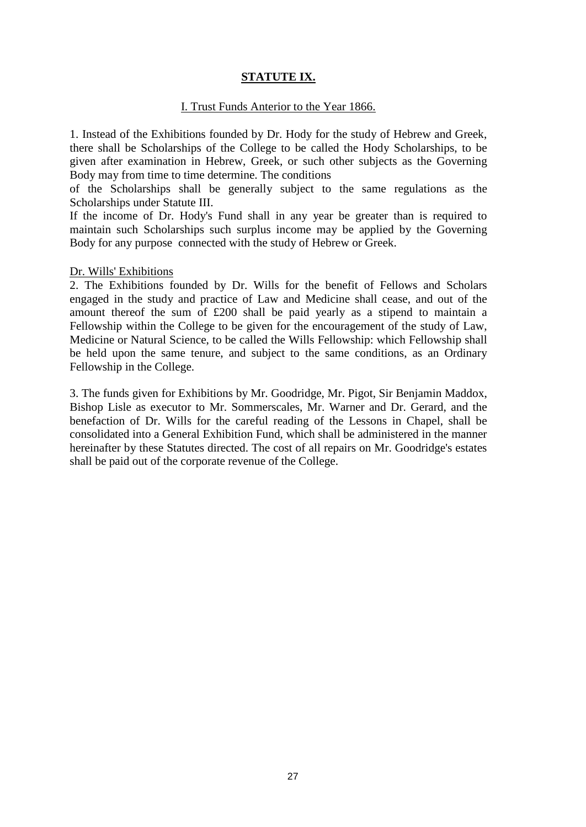# **STATUTE IX.**

### I. Trust Funds Anterior to the Year 1866.

1. Instead of the Exhibitions founded by Dr. Hody for the study of Hebrew and Greek, there shall be Scholarships of the College to be called the Hody Scholarships, to be given after examination in Hebrew, Greek, or such other subjects as the Governing Body may from time to time determine. The conditions

of the Scholarships shall be generally subject to the same regulations as the Scholarships under Statute III.

If the income of Dr. Hody's Fund shall in any year be greater than is required to maintain such Scholarships such surplus income may be applied by the Governing Body for any purpose connected with the study of Hebrew or Greek.

### Dr. Wills' Exhibitions

2. The Exhibitions founded by Dr. Wills for the benefit of Fellows and Scholars engaged in the study and practice of Law and Medicine shall cease, and out of the amount thereof the sum of £200 shall be paid yearly as a stipend to maintain a Fellowship within the College to be given for the encouragement of the study of Law, Medicine or Natural Science, to be called the Wills Fellowship: which Fellowship shall be held upon the same tenure, and subject to the same conditions, as an Ordinary Fellowship in the College.

3. The funds given for Exhibitions by Mr. Goodridge, Mr. Pigot, Sir Benjamin Maddox, Bishop Lisle as executor to Mr. Sommerscales, Mr. Warner and Dr. Gerard, and the benefaction of Dr. Wills for the careful reading of the Lessons in Chapel, shall be consolidated into a General Exhibition Fund, which shall be administered in the manner hereinafter by these Statutes directed. The cost of all repairs on Mr. Goodridge's estates shall be paid out of the corporate revenue of the College.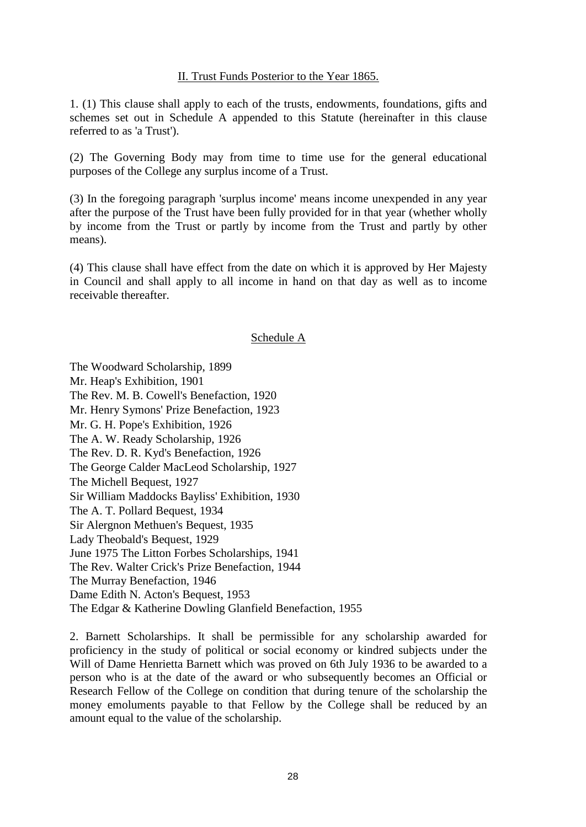## II. Trust Funds Posterior to the Year 1865.

1. (1) This clause shall apply to each of the trusts, endowments, foundations, gifts and schemes set out in Schedule A appended to this Statute (hereinafter in this clause referred to as 'a Trust').

(2) The Governing Body may from time to time use for the general educational purposes of the College any surplus income of a Trust.

(3) In the foregoing paragraph 'surplus income' means income unexpended in any year after the purpose of the Trust have been fully provided for in that year (whether wholly by income from the Trust or partly by income from the Trust and partly by other means).

(4) This clause shall have effect from the date on which it is approved by Her Majesty in Council and shall apply to all income in hand on that day as well as to income receivable thereafter.

#### Schedule A

The Woodward Scholarship, 1899 Mr. Heap's Exhibition, 1901 The Rev. M. B. Cowell's Benefaction, 1920 Mr. Henry Symons' Prize Benefaction, 1923 Mr. G. H. Pope's Exhibition, 1926 The A. W. Ready Scholarship, 1926 The Rev. D. R. Kyd's Benefaction, 1926 The George Calder MacLeod Scholarship, 1927 The Michell Bequest, 1927 Sir William Maddocks Bayliss' Exhibition, 1930 The A. T. Pollard Bequest, 1934 Sir Alergnon Methuen's Bequest, 1935 Lady Theobald's Bequest, 1929 June 1975 The Litton Forbes Scholarships, 1941 The Rev. Walter Crick's Prize Benefaction, 1944 The Murray Benefaction, 1946 Dame Edith N. Acton's Bequest, 1953 The Edgar & Katherine Dowling Glanfield Benefaction, 1955

2. Barnett Scholarships. It shall be permissible for any scholarship awarded for proficiency in the study of political or social economy or kindred subjects under the Will of Dame Henrietta Barnett which was proved on 6th July 1936 to be awarded to a person who is at the date of the award or who subsequently becomes an Official or Research Fellow of the College on condition that during tenure of the scholarship the money emoluments payable to that Fellow by the College shall be reduced by an amount equal to the value of the scholarship.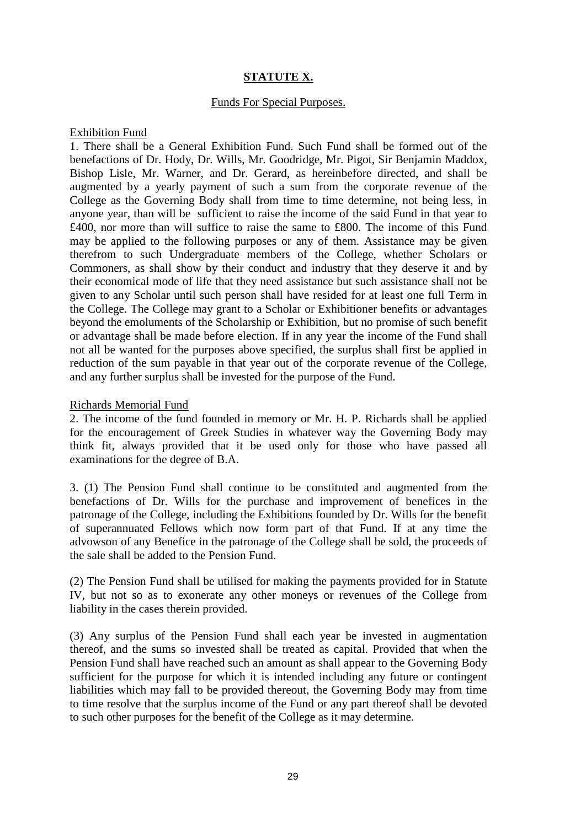# **STATUTE X.**

### Funds For Special Purposes.

### Exhibition Fund

1. There shall be a General Exhibition Fund. Such Fund shall be formed out of the benefactions of Dr. Hody, Dr. Wills, Mr. Goodridge, Mr. Pigot, Sir Benjamin Maddox, Bishop Lisle, Mr. Warner, and Dr. Gerard, as hereinbefore directed, and shall be augmented by a yearly payment of such a sum from the corporate revenue of the College as the Governing Body shall from time to time determine, not being less, in anyone year, than will be sufficient to raise the income of the said Fund in that year to £400, nor more than will suffice to raise the same to £800. The income of this Fund may be applied to the following purposes or any of them. Assistance may be given therefrom to such Undergraduate members of the College, whether Scholars or Commoners, as shall show by their conduct and industry that they deserve it and by their economical mode of life that they need assistance but such assistance shall not be given to any Scholar until such person shall have resided for at least one full Term in the College. The College may grant to a Scholar or Exhibitioner benefits or advantages beyond the emoluments of the Scholarship or Exhibition, but no promise of such benefit or advantage shall be made before election. If in any year the income of the Fund shall not all be wanted for the purposes above specified, the surplus shall first be applied in reduction of the sum payable in that year out of the corporate revenue of the College, and any further surplus shall be invested for the purpose of the Fund.

### Richards Memorial Fund

2. The income of the fund founded in memory or Mr. H. P. Richards shall be applied for the encouragement of Greek Studies in whatever way the Governing Body may think fit, always provided that it be used only for those who have passed all examinations for the degree of B.A.

3. (1) The Pension Fund shall continue to be constituted and augmented from the benefactions of Dr. Wills for the purchase and improvement of benefices in the patronage of the College, including the Exhibitions founded by Dr. Wills for the benefit of superannuated Fellows which now form part of that Fund. If at any time the advowson of any Benefice in the patronage of the College shall be sold, the proceeds of the sale shall be added to the Pension Fund.

(2) The Pension Fund shall be utilised for making the payments provided for in Statute IV, but not so as to exonerate any other moneys or revenues of the College from liability in the cases therein provided.

(3) Any surplus of the Pension Fund shall each year be invested in augmentation thereof, and the sums so invested shall be treated as capital. Provided that when the Pension Fund shall have reached such an amount as shall appear to the Governing Body sufficient for the purpose for which it is intended including any future or contingent liabilities which may fall to be provided thereout, the Governing Body may from time to time resolve that the surplus income of the Fund or any part thereof shall be devoted to such other purposes for the benefit of the College as it may determine.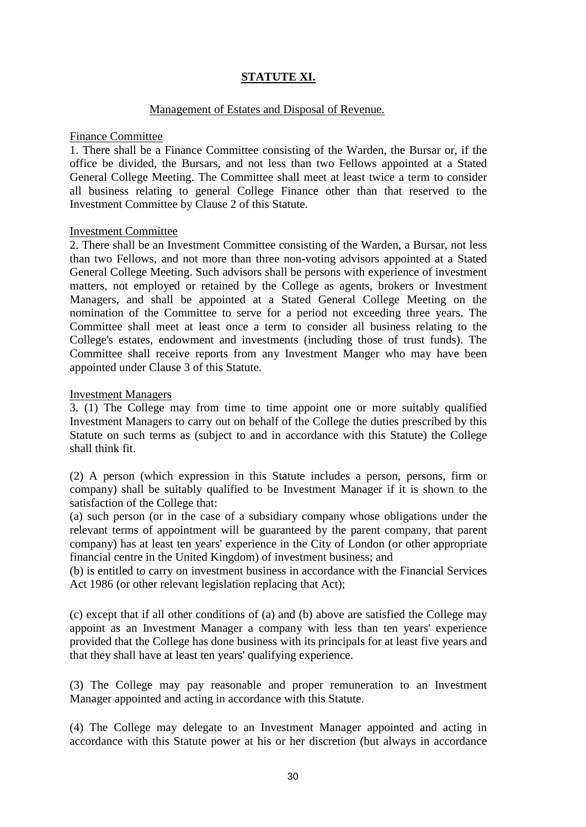# **STATUTE XI.**

### Management of Estates and Disposal of Revenue.

#### Finance Committee

1. There shall be a Finance Committee consisting of the Warden, the Bursar or, if the office be divided, the Bursars, and not less than two Fellows appointed at a Stated General College Meeting. The Committee shall meet at least twice a term to consider all business relating to general College Finance other than that reserved to the Investment Committee by Clause 2 of this Statute.

### Investment Committee

2. There shall be an Investment Committee consisting of the Warden, a Bursar, not less than two Fellows, and not more than three non-voting advisors appointed at a Stated General College Meeting. Such advisors shall be persons with experience of investment matters, not employed or retained by the College as agents, brokers or Investment Managers, and shall be appointed at a Stated General College Meeting on the nomination of the Committee to serve for a period not exceeding three years. The Committee shall meet at least once a term to consider all business relating to the College's estates, endowment and investments (including those of trust funds). The Committee shall receive reports from any Investment Manger who may have been appointed under Clause 3 of this Statute.

### Investment Managers

3. (1) The College may from time to time appoint one or more suitably qualified Investment Managers to carry out on behalf of the College the duties prescribed by this Statute on such terms as (subject to and in accordance with this Statute) the College shall think fit.

(2) A person (which expression in this Statute includes a person, persons, firm or company) shall be suitably qualified to be Investment Manager if it is shown to the satisfaction of the College that:

(a) such person (or in the case of a subsidiary company whose obligations under the relevant terms of appointment will be guaranteed by the parent company, that parent company) has at least ten years' experience in the City of London (or other appropriate financial centre in the United Kingdom) of investment business; and

(b) is entitled to carry on investment business in accordance with the Financial Services Act 1986 (or other relevant legislation replacing that Act);

(c) except that if all other conditions of (a) and (b) above are satisfied the College may appoint as an Investment Manager a company with less than ten years' experience provided that the College has done business with its principals for at least five years and that they shall have at least ten years' qualifying experience.

(3) The College may pay reasonable and proper remuneration to an Investment Manager appointed and acting in accordance with this Statute.

(4) The College may delegate to an Investment Manager appointed and acting in accordance with this Statute power at his or her discretion (but always in accordance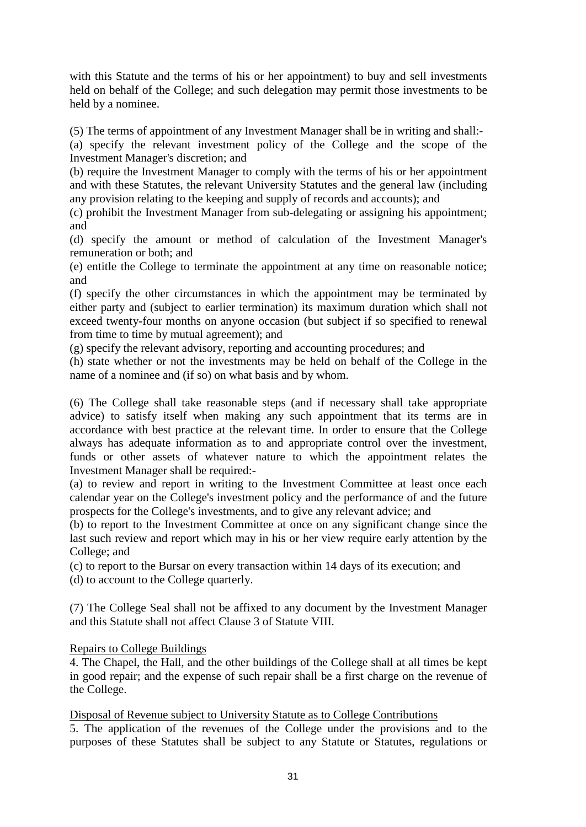with this Statute and the terms of his or her appointment) to buy and sell investments held on behalf of the College; and such delegation may permit those investments to be held by a nominee.

(5) The terms of appointment of any Investment Manager shall be in writing and shall:-

(a) specify the relevant investment policy of the College and the scope of the Investment Manager's discretion; and

(b) require the Investment Manager to comply with the terms of his or her appointment and with these Statutes, the relevant University Statutes and the general law (including any provision relating to the keeping and supply of records and accounts); and

(c) prohibit the Investment Manager from sub-delegating or assigning his appointment; and

(d) specify the amount or method of calculation of the Investment Manager's remuneration or both; and

(e) entitle the College to terminate the appointment at any time on reasonable notice; and

(f) specify the other circumstances in which the appointment may be terminated by either party and (subject to earlier termination) its maximum duration which shall not exceed twenty-four months on anyone occasion (but subject if so specified to renewal from time to time by mutual agreement); and

(g) specify the relevant advisory, reporting and accounting procedures; and

(h) state whether or not the investments may be held on behalf of the College in the name of a nominee and (if so) on what basis and by whom.

(6) The College shall take reasonable steps (and if necessary shall take appropriate advice) to satisfy itself when making any such appointment that its terms are in accordance with best practice at the relevant time. In order to ensure that the College always has adequate information as to and appropriate control over the investment, funds or other assets of whatever nature to which the appointment relates the Investment Manager shall be required:-

(a) to review and report in writing to the Investment Committee at least once each calendar year on the College's investment policy and the performance of and the future prospects for the College's investments, and to give any relevant advice; and

(b) to report to the Investment Committee at once on any significant change since the last such review and report which may in his or her view require early attention by the College; and

(c) to report to the Bursar on every transaction within 14 days of its execution; and

(d) to account to the College quarterly.

(7) The College Seal shall not be affixed to any document by the Investment Manager and this Statute shall not affect Clause 3 of Statute VIII.

# Repairs to College Buildings

4. The Chapel, the Hall, and the other buildings of the College shall at all times be kept in good repair; and the expense of such repair shall be a first charge on the revenue of the College.

Disposal of Revenue subject to University Statute as to College Contributions

5. The application of the revenues of the College under the provisions and to the purposes of these Statutes shall be subject to any Statute or Statutes, regulations or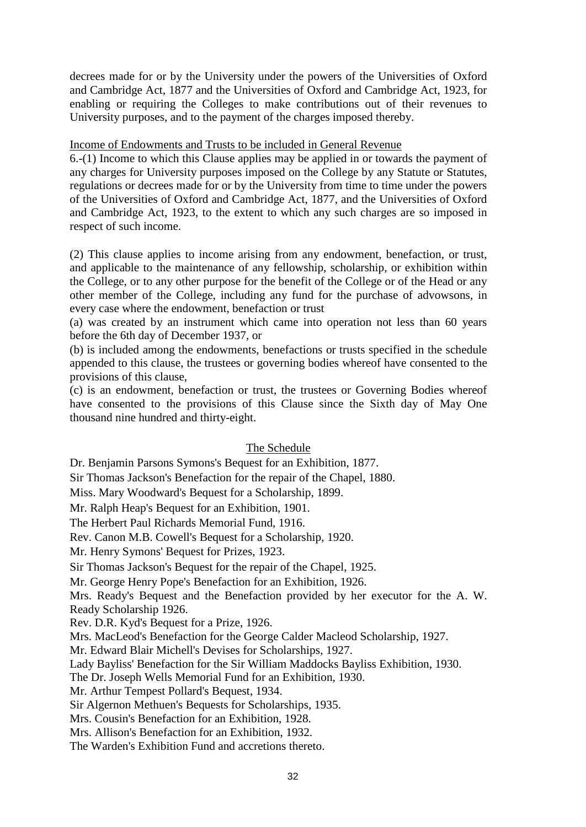decrees made for or by the University under the powers of the Universities of Oxford and Cambridge Act, 1877 and the Universities of Oxford and Cambridge Act, 1923, for enabling or requiring the Colleges to make contributions out of their revenues to University purposes, and to the payment of the charges imposed thereby.

## Income of Endowments and Trusts to be included in General Revenue

6.-(1) Income to which this Clause applies may be applied in or towards the payment of any charges for University purposes imposed on the College by any Statute or Statutes, regulations or decrees made for or by the University from time to time under the powers of the Universities of Oxford and Cambridge Act, 1877, and the Universities of Oxford and Cambridge Act, 1923, to the extent to which any such charges are so imposed in respect of such income.

(2) This clause applies to income arising from any endowment, benefaction, or trust, and applicable to the maintenance of any fellowship, scholarship, or exhibition within the College, or to any other purpose for the benefit of the College or of the Head or any other member of the College, including any fund for the purchase of advowsons, in every case where the endowment, benefaction or trust

(a) was created by an instrument which came into operation not less than 60 years before the 6th day of December 1937, or

(b) is included among the endowments, benefactions or trusts specified in the schedule appended to this clause, the trustees or governing bodies whereof have consented to the provisions of this clause,

(c) is an endowment, benefaction or trust, the trustees or Governing Bodies whereof have consented to the provisions of this Clause since the Sixth day of May One thousand nine hundred and thirty-eight.

# The Schedule

Dr. Benjamin Parsons Symons's Bequest for an Exhibition, 1877.

Sir Thomas Jackson's Benefaction for the repair of the Chapel, 1880.

Miss. Mary Woodward's Bequest for a Scholarship, 1899.

Mr. Ralph Heap's Bequest for an Exhibition, 1901.

The Herbert Paul Richards Memorial Fund, 1916.

Rev. Canon M.B. Cowell's Bequest for a Scholarship, 1920.

Mr. Henry Symons' Bequest for Prizes, 1923.

Sir Thomas Jackson's Bequest for the repair of the Chapel, 1925.

Mr. George Henry Pope's Benefaction for an Exhibition, 1926.

Mrs. Ready's Bequest and the Benefaction provided by her executor for the A. W. Ready Scholarship 1926.

Rev. D.R. Kyd's Bequest for a Prize, 1926.

Mrs. MacLeod's Benefaction for the George Calder Macleod Scholarship, 1927.

Mr. Edward Blair Michell's Devises for Scholarships, 1927.

Lady Bayliss' Benefaction for the Sir William Maddocks Bayliss Exhibition, 1930.

The Dr. Joseph Wells Memorial Fund for an Exhibition, 1930.

Mr. Arthur Tempest Pollard's Bequest, 1934.

Sir Algernon Methuen's Bequests for Scholarships, 1935.

Mrs. Cousin's Benefaction for an Exhibition, 1928.

Mrs. Allison's Benefaction for an Exhibition, 1932.

The Warden's Exhibition Fund and accretions thereto.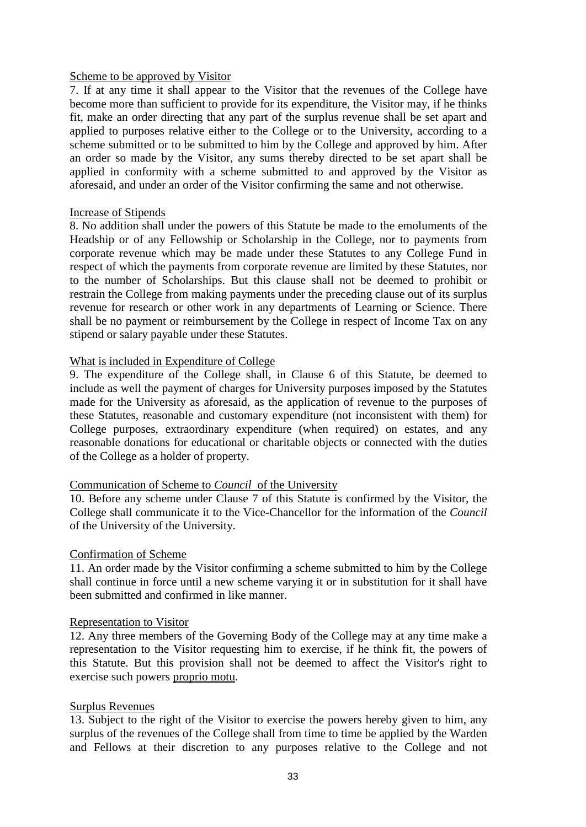## Scheme to be approved by Visitor

7. If at any time it shall appear to the Visitor that the revenues of the College have become more than sufficient to provide for its expenditure, the Visitor may, if he thinks fit, make an order directing that any part of the surplus revenue shall be set apart and applied to purposes relative either to the College or to the University, according to a scheme submitted or to be submitted to him by the College and approved by him. After an order so made by the Visitor, any sums thereby directed to be set apart shall be applied in conformity with a scheme submitted to and approved by the Visitor as aforesaid, and under an order of the Visitor confirming the same and not otherwise.

### Increase of Stipends

8. No addition shall under the powers of this Statute be made to the emoluments of the Headship or of any Fellowship or Scholarship in the College, nor to payments from corporate revenue which may be made under these Statutes to any College Fund in respect of which the payments from corporate revenue are limited by these Statutes, nor to the number of Scholarships. But this clause shall not be deemed to prohibit or restrain the College from making payments under the preceding clause out of its surplus revenue for research or other work in any departments of Learning or Science. There shall be no payment or reimbursement by the College in respect of Income Tax on any stipend or salary payable under these Statutes.

## What is included in Expenditure of College

9. The expenditure of the College shall, in Clause 6 of this Statute, be deemed to include as well the payment of charges for University purposes imposed by the Statutes made for the University as aforesaid, as the application of revenue to the purposes of these Statutes, reasonable and customary expenditure (not inconsistent with them) for College purposes, extraordinary expenditure (when required) on estates, and any reasonable donations for educational or charitable objects or connected with the duties of the College as a holder of property.

## Communication of Scheme to *Council* of the University

10. Before any scheme under Clause 7 of this Statute is confirmed by the Visitor, the College shall communicate it to the Vice-Chancellor for the information of the *Council*  of the University of the University.

#### Confirmation of Scheme

11. An order made by the Visitor confirming a scheme submitted to him by the College shall continue in force until a new scheme varying it or in substitution for it shall have been submitted and confirmed in like manner.

#### Representation to Visitor

12. Any three members of the Governing Body of the College may at any time make a representation to the Visitor requesting him to exercise, if he think fit, the powers of this Statute. But this provision shall not be deemed to affect the Visitor's right to exercise such powers proprio motu.

## Surplus Revenues

13. Subject to the right of the Visitor to exercise the powers hereby given to him, any surplus of the revenues of the College shall from time to time be applied by the Warden and Fellows at their discretion to any purposes relative to the College and not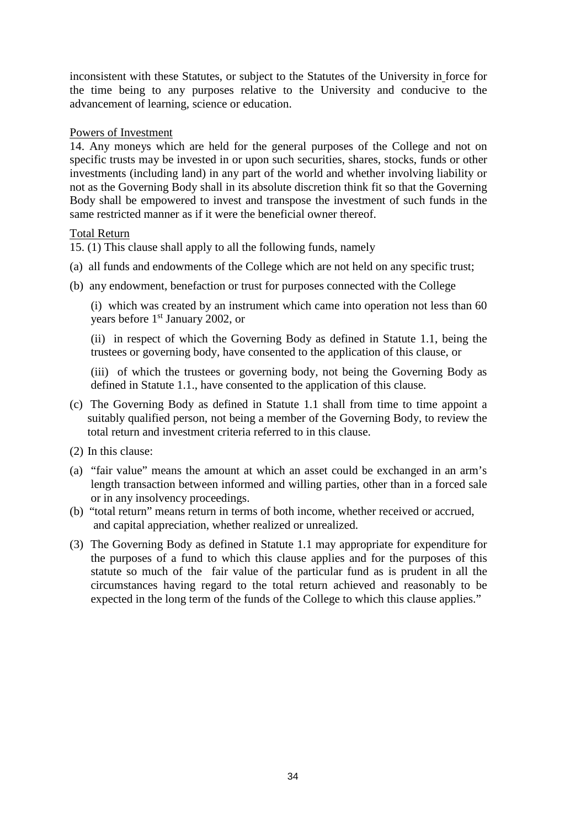inconsistent with these Statutes, or subject to the Statutes of the University in force for the time being to any purposes relative to the University and conducive to the advancement of learning, science or education.

# Powers of Investment

14. Any moneys which are held for the general purposes of the College and not on specific trusts may be invested in or upon such securities, shares, stocks, funds or other investments (including land) in any part of the world and whether involving liability or not as the Governing Body shall in its absolute discretion think fit so that the Governing Body shall be empowered to invest and transpose the investment of such funds in the same restricted manner as if it were the beneficial owner thereof.

## Total Return

15. (1) This clause shall apply to all the following funds, namely

- (a) all funds and endowments of the College which are not held on any specific trust;
- (b) any endowment, benefaction or trust for purposes connected with the College

(i) which was created by an instrument which came into operation not less than 60 years before 1st January 2002, or

(ii) in respect of which the Governing Body as defined in Statute 1.1, being the trustees or governing body, have consented to the application of this clause, or

(iii) of which the trustees or governing body, not being the Governing Body as defined in Statute 1.1., have consented to the application of this clause.

- (c) The Governing Body as defined in Statute 1.1 shall from time to time appoint a suitably qualified person, not being a member of the Governing Body, to review the total return and investment criteria referred to in this clause.
- (2) In this clause:
- (a) "fair value" means the amount at which an asset could be exchanged in an arm's length transaction between informed and willing parties, other than in a forced sale or in any insolvency proceedings.
- (b) "total return" means return in terms of both income, whether received or accrued, and capital appreciation, whether realized or unrealized.
- (3) The Governing Body as defined in Statute 1.1 may appropriate for expenditure for the purposes of a fund to which this clause applies and for the purposes of this statute so much of the fair value of the particular fund as is prudent in all the circumstances having regard to the total return achieved and reasonably to be expected in the long term of the funds of the College to which this clause applies."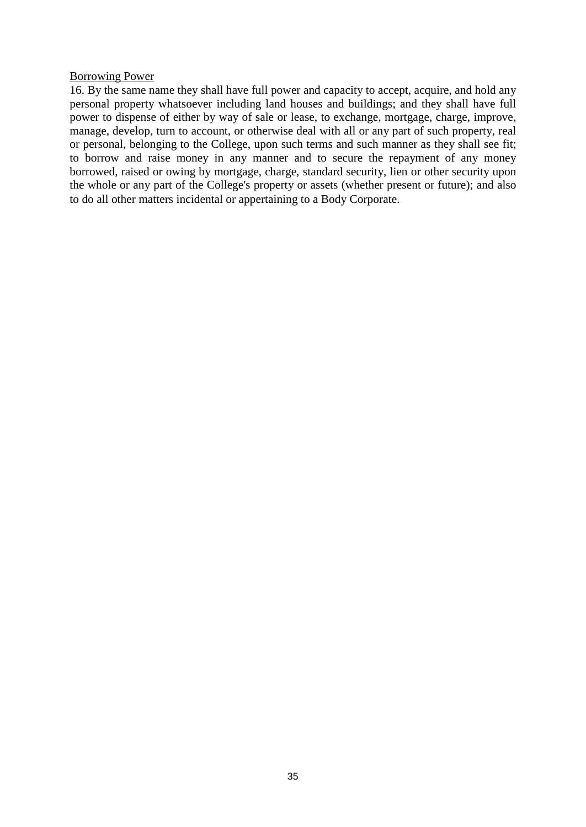### Borrowing Power

16. By the same name they shall have full power and capacity to accept, acquire, and hold any personal property whatsoever including land houses and buildings; and they shall have full power to dispense of either by way of sale or lease, to exchange, mortgage, charge, improve, manage, develop, turn to account, or otherwise deal with all or any part of such property, real or personal, belonging to the College, upon such terms and such manner as they shall see fit; to borrow and raise money in any manner and to secure the repayment of any money borrowed, raised or owing by mortgage, charge, standard security, lien or other security upon the whole or any part of the College's property or assets (whether present or future); and also to do all other matters incidental or appertaining to a Body Corporate.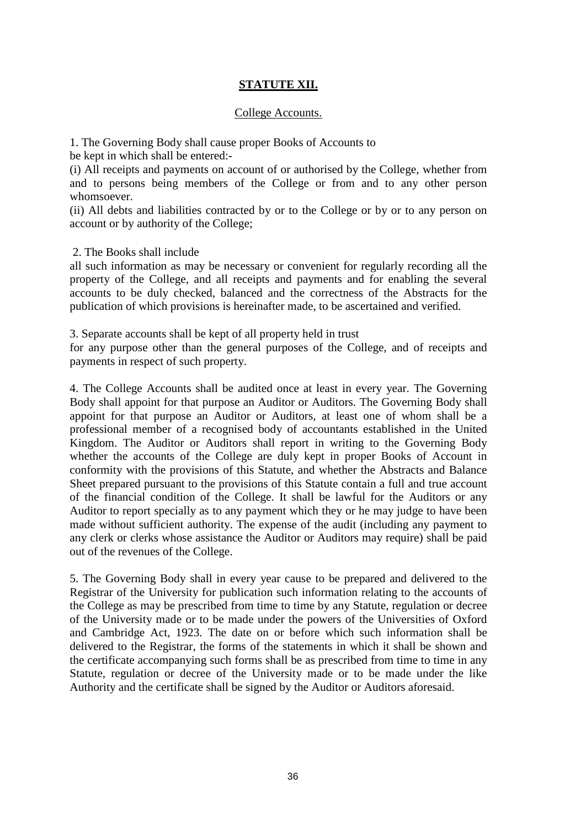# **STATUTE XII.**

### College Accounts.

1. The Governing Body shall cause proper Books of Accounts to

be kept in which shall be entered:-

(i) All receipts and payments on account of or authorised by the College, whether from and to persons being members of the College or from and to any other person whomsoever.

(ii) All debts and liabilities contracted by or to the College or by or to any person on account or by authority of the College;

2. The Books shall include

all such information as may be necessary or convenient for regularly recording all the property of the College, and all receipts and payments and for enabling the several accounts to be duly checked, balanced and the correctness of the Abstracts for the publication of which provisions is hereinafter made, to be ascertained and verified.

3. Separate accounts shall be kept of all property held in trust

for any purpose other than the general purposes of the College, and of receipts and payments in respect of such property.

4. The College Accounts shall be audited once at least in every year. The Governing Body shall appoint for that purpose an Auditor or Auditors. The Governing Body shall appoint for that purpose an Auditor or Auditors, at least one of whom shall be a professional member of a recognised body of accountants established in the United Kingdom. The Auditor or Auditors shall report in writing to the Governing Body whether the accounts of the College are duly kept in proper Books of Account in conformity with the provisions of this Statute, and whether the Abstracts and Balance Sheet prepared pursuant to the provisions of this Statute contain a full and true account of the financial condition of the College. It shall be lawful for the Auditors or any Auditor to report specially as to any payment which they or he may judge to have been made without sufficient authority. The expense of the audit (including any payment to any clerk or clerks whose assistance the Auditor or Auditors may require) shall be paid out of the revenues of the College.

5. The Governing Body shall in every year cause to be prepared and delivered to the Registrar of the University for publication such information relating to the accounts of the College as may be prescribed from time to time by any Statute, regulation or decree of the University made or to be made under the powers of the Universities of Oxford and Cambridge Act, 1923. The date on or before which such information shall be delivered to the Registrar, the forms of the statements in which it shall be shown and the certificate accompanying such forms shall be as prescribed from time to time in any Statute, regulation or decree of the University made or to be made under the like Authority and the certificate shall be signed by the Auditor or Auditors aforesaid.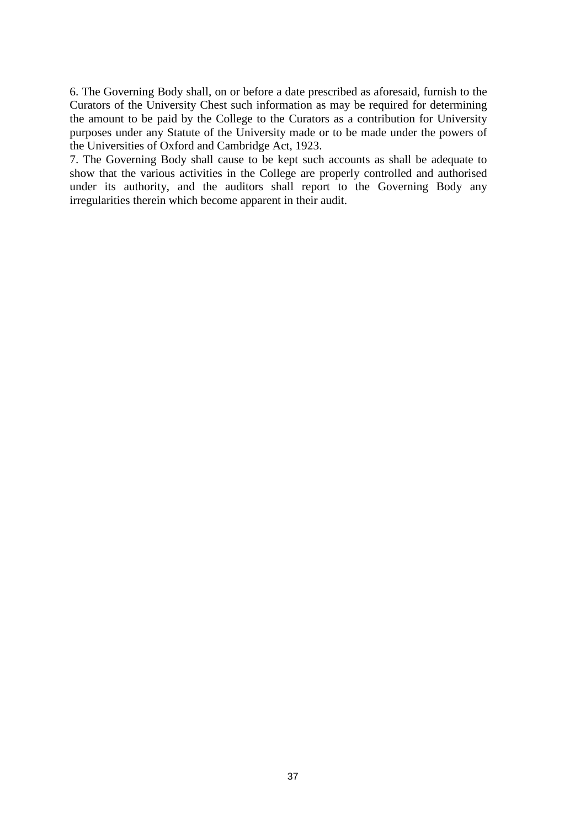6. The Governing Body shall, on or before a date prescribed as aforesaid, furnish to the Curators of the University Chest such information as may be required for determining the amount to be paid by the College to the Curators as a contribution for University purposes under any Statute of the University made or to be made under the powers of the Universities of Oxford and Cambridge Act, 1923.

7. The Governing Body shall cause to be kept such accounts as shall be adequate to show that the various activities in the College are properly controlled and authorised under its authority, and the auditors shall report to the Governing Body any irregularities therein which become apparent in their audit.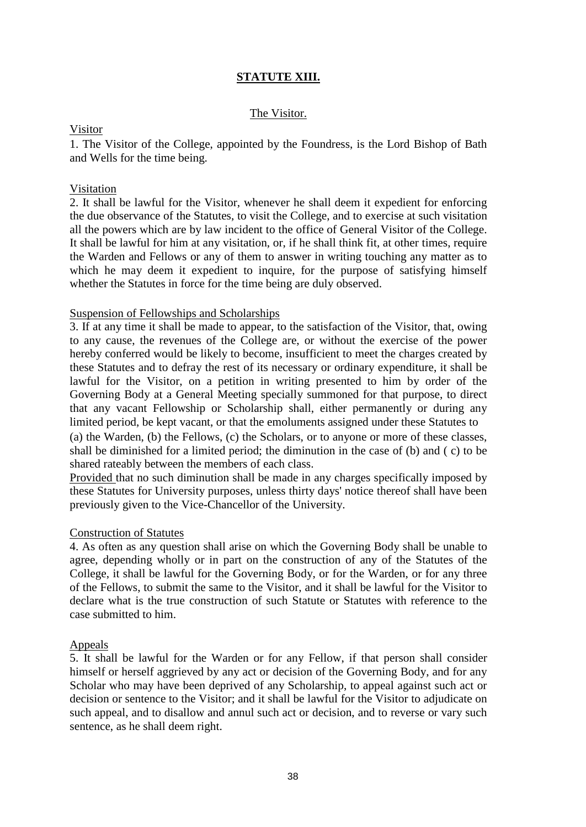# **STATUTE XIII.**

# The Visitor.

### Visitor

1. The Visitor of the College, appointed by the Foundress, is the Lord Bishop of Bath and Wells for the time being.

# Visitation

2. It shall be lawful for the Visitor, whenever he shall deem it expedient for enforcing the due observance of the Statutes, to visit the College, and to exercise at such visitation all the powers which are by law incident to the office of General Visitor of the College. It shall be lawful for him at any visitation, or, if he shall think fit, at other times, require the Warden and Fellows or any of them to answer in writing touching any matter as to which he may deem it expedient to inquire, for the purpose of satisfying himself whether the Statutes in force for the time being are duly observed.

### Suspension of Fellowships and Scholarships

3. If at any time it shall be made to appear, to the satisfaction of the Visitor, that, owing to any cause, the revenues of the College are, or without the exercise of the power hereby conferred would be likely to become, insufficient to meet the charges created by these Statutes and to defray the rest of its necessary or ordinary expenditure, it shall be lawful for the Visitor, on a petition in writing presented to him by order of the Governing Body at a General Meeting specially summoned for that purpose, to direct that any vacant Fellowship or Scholarship shall, either permanently or during any limited period, be kept vacant, or that the emoluments assigned under these Statutes to

(a) the Warden, (b) the Fellows, (c) the Scholars, or to anyone or more of these classes, shall be diminished for a limited period; the diminution in the case of (b) and ( c) to be shared rateably between the members of each class.

Provided that no such diminution shall be made in any charges specifically imposed by these Statutes for University purposes, unless thirty days' notice thereof shall have been previously given to the Vice-Chancellor of the University.

## Construction of Statutes

4. As often as any question shall arise on which the Governing Body shall be unable to agree, depending wholly or in part on the construction of any of the Statutes of the College, it shall be lawful for the Governing Body, or for the Warden, or for any three of the Fellows, to submit the same to the Visitor, and it shall be lawful for the Visitor to declare what is the true construction of such Statute or Statutes with reference to the case submitted to him.

## Appeals

5. It shall be lawful for the Warden or for any Fellow, if that person shall consider himself or herself aggrieved by any act or decision of the Governing Body, and for any Scholar who may have been deprived of any Scholarship, to appeal against such act or decision or sentence to the Visitor; and it shall be lawful for the Visitor to adjudicate on such appeal, and to disallow and annul such act or decision, and to reverse or vary such sentence, as he shall deem right.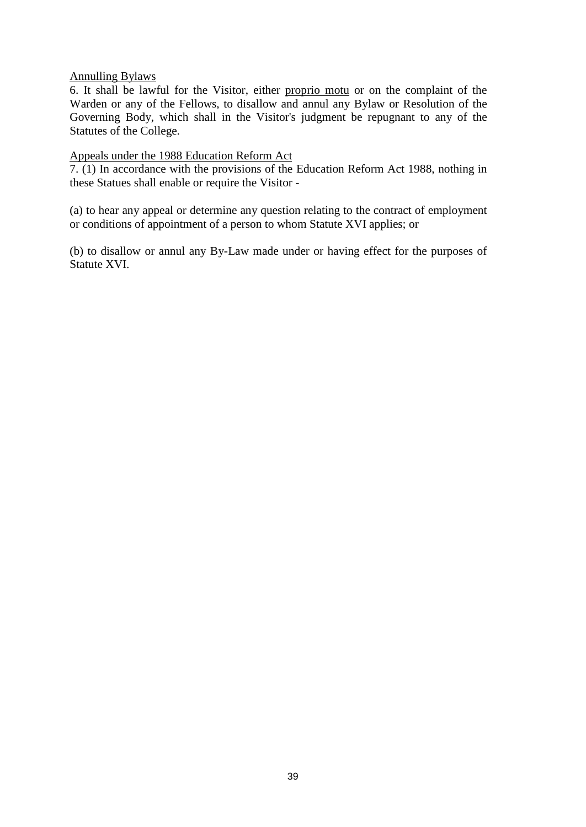# Annulling Bylaws

6. It shall be lawful for the Visitor, either proprio motu or on the complaint of the Warden or any of the Fellows, to disallow and annul any Bylaw or Resolution of the Governing Body, which shall in the Visitor's judgment be repugnant to any of the Statutes of the College.

# Appeals under the 1988 Education Reform Act

7. (1) In accordance with the provisions of the Education Reform Act 1988, nothing in these Statues shall enable or require the Visitor -

(a) to hear any appeal or determine any question relating to the contract of employment or conditions of appointment of a person to whom Statute XVI applies; or

(b) to disallow or annul any By-Law made under or having effect for the purposes of Statute XVI.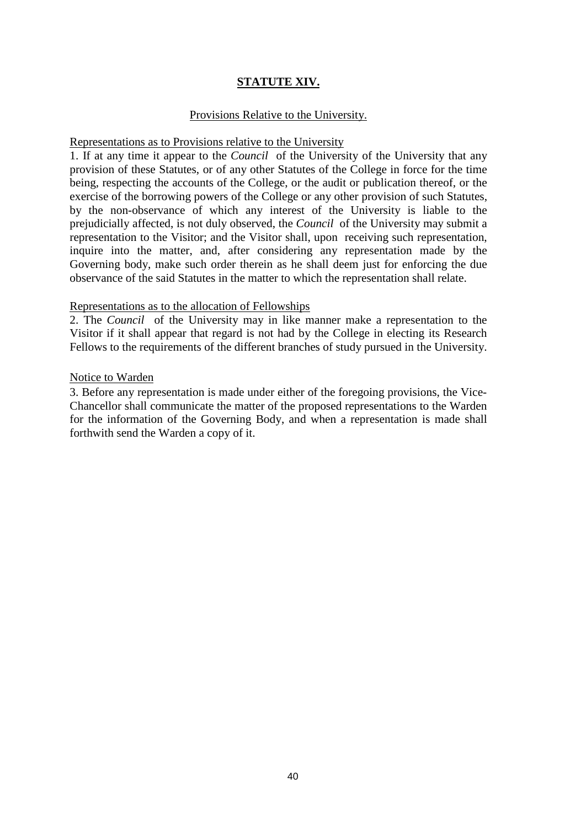# **STATUTE XIV.**

## Provisions Relative to the University.

### Representations as to Provisions relative to the University

1. If at any time it appear to the *Council* of the University of the University that any provision of these Statutes, or of any other Statutes of the College in force for the time being, respecting the accounts of the College, or the audit or publication thereof, or the exercise of the borrowing powers of the College or any other provision of such Statutes, by the non-observance of which any interest of the University is liable to the prejudicially affected, is not duly observed, the *Council* of the University may submit a representation to the Visitor; and the Visitor shall, upon receiving such representation, inquire into the matter, and, after considering any representation made by the Governing body, make such order therein as he shall deem just for enforcing the due observance of the said Statutes in the matter to which the representation shall relate.

## Representations as to the allocation of Fellowships

2. The *Council* of the University may in like manner make a representation to the Visitor if it shall appear that regard is not had by the College in electing its Research Fellows to the requirements of the different branches of study pursued in the University.

## Notice to Warden

3. Before any representation is made under either of the foregoing provisions, the Vice-Chancellor shall communicate the matter of the proposed representations to the Warden for the information of the Governing Body, and when a representation is made shall forthwith send the Warden a copy of it.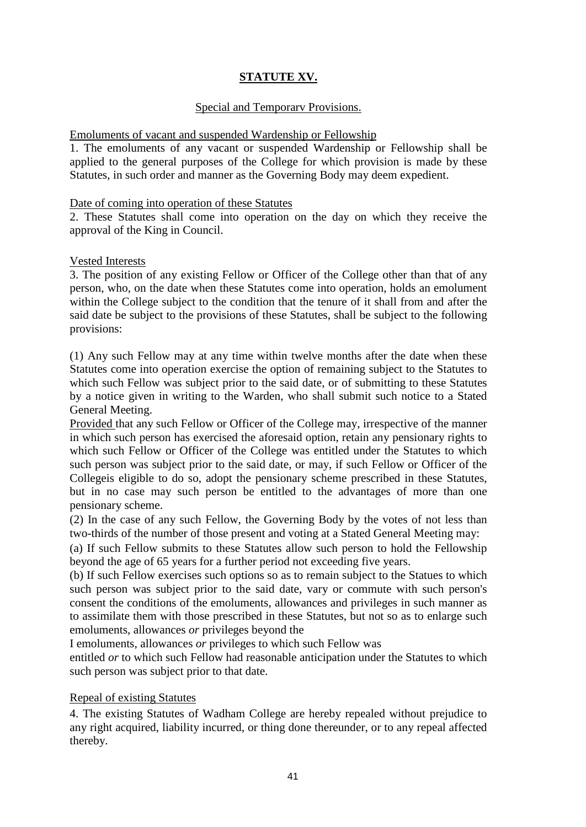# **STATUTE XV.**

# Special and Temporarv Provisions.

# Emoluments of vacant and suspended Wardenship or Fellowship

1. The emoluments of any vacant or suspended Wardenship or Fellowship shall be applied to the general purposes of the College for which provision is made by these Statutes, in such order and manner as the Governing Body may deem expedient.

# Date of coming into operation of these Statutes

2. These Statutes shall come into operation on the day on which they receive the approval of the King in Council.

# Vested Interests

3. The position of any existing Fellow or Officer of the College other than that of any person, who, on the date when these Statutes come into operation, holds an emolument within the College subject to the condition that the tenure of it shall from and after the said date be subject to the provisions of these Statutes, shall be subject to the following provisions:

(1) Any such Fellow may at any time within twelve months after the date when these Statutes come into operation exercise the option of remaining subject to the Statutes to which such Fellow was subject prior to the said date, or of submitting to these Statutes by a notice given in writing to the Warden, who shall submit such notice to a Stated General Meeting.

Provided that any such Fellow or Officer of the College may, irrespective of the manner in which such person has exercised the aforesaid option, retain any pensionary rights to which such Fellow or Officer of the College was entitled under the Statutes to which such person was subject prior to the said date, or may, if such Fellow or Officer of the Collegeis eligible to do so, adopt the pensionary scheme prescribed in these Statutes, but in no case may such person be entitled to the advantages of more than one pensionary scheme.

(2) In the case of any such Fellow, the Governing Body by the votes of not less than two-thirds of the number of those present and voting at a Stated General Meeting may:

(a) If such Fellow submits to these Statutes allow such person to hold the Fellowship beyond the age of 65 years for a further period not exceeding five years.

(b) If such Fellow exercises such options so as to remain subject to the Statues to which such person was subject prior to the said date, vary or commute with such person's consent the conditions of the emoluments, allowances and privileges in such manner as to assimilate them with those prescribed in these Statutes, but not so as to enlarge such emoluments, allowances *or* privileges beyond the

I emoluments, allowances *or* privileges to which such Fellow was

entitled *or* to which such Fellow had reasonable anticipation under the Statutes to which such person was subject prior to that date.

# Repeal of existing Statutes

4. The existing Statutes of Wadham College are hereby repealed without prejudice to any right acquired, liability incurred, or thing done thereunder, or to any repeal affected thereby.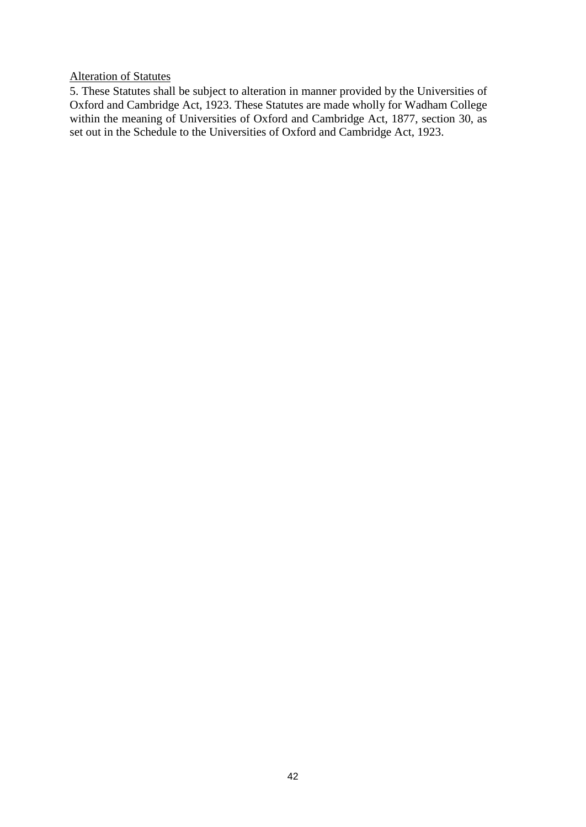# Alteration of Statutes

5. These Statutes shall be subject to alteration in manner provided by the Universities of Oxford and Cambridge Act, 1923. These Statutes are made wholly for Wadham College within the meaning of Universities of Oxford and Cambridge Act, 1877, section 30, as set out in the Schedule to the Universities of Oxford and Cambridge Act, 1923.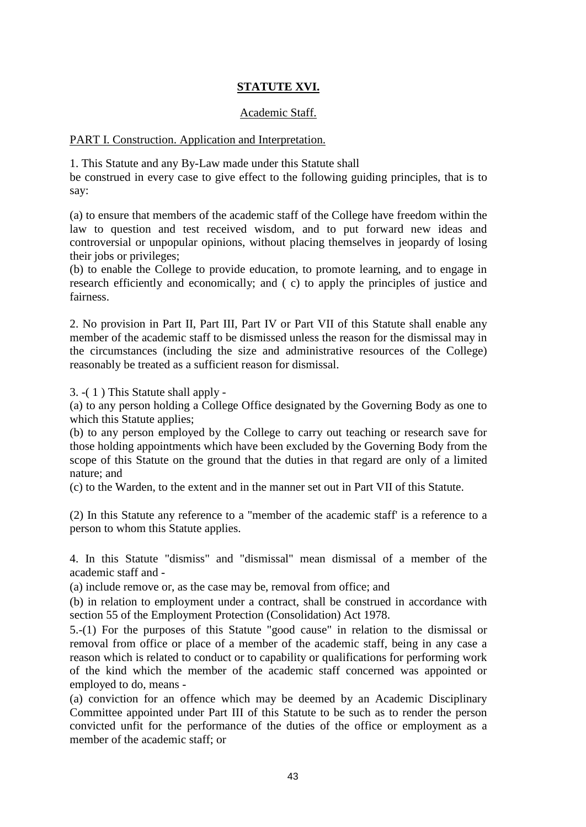# **STATUTE XVI.**

# Academic Staff.

### PART I. Construction. Application and Interpretation.

1. This Statute and any By-Law made under this Statute shall

be construed in every case to give effect to the following guiding principles, that is to say:

(a) to ensure that members of the academic staff of the College have freedom within the law to question and test received wisdom, and to put forward new ideas and controversial or unpopular opinions, without placing themselves in jeopardy of losing their jobs or privileges;

(b) to enable the College to provide education, to promote learning, and to engage in research efficiently and economically; and ( c) to apply the principles of justice and fairness.

2. No provision in Part II, Part III, Part IV or Part VII of this Statute shall enable any member of the academic staff to be dismissed unless the reason for the dismissal may in the circumstances (including the size and administrative resources of the College) reasonably be treated as a sufficient reason for dismissal.

3. -( 1 ) This Statute shall apply -

(a) to any person holding a College Office designated by the Governing Body as one to which this Statute applies;

(b) to any person employed by the College to carry out teaching or research save for those holding appointments which have been excluded by the Governing Body from the scope of this Statute on the ground that the duties in that regard are only of a limited nature; and

(c) to the Warden, to the extent and in the manner set out in Part VII of this Statute.

(2) In this Statute any reference to a "member of the academic staff' is a reference to a person to whom this Statute applies.

4. In this Statute "dismiss" and "dismissal" mean dismissal of a member of the academic staff and -

(a) include remove or, as the case may be, removal from office; and

(b) in relation to employment under a contract, shall be construed in accordance with section 55 of the Employment Protection (Consolidation) Act 1978.

5.-(1) For the purposes of this Statute "good cause" in relation to the dismissal or removal from office or place of a member of the academic staff, being in any case a reason which is related to conduct or to capability or qualifications for performing work of the kind which the member of the academic staff concerned was appointed or employed to do, means -

(a) conviction for an offence which may be deemed by an Academic Disciplinary Committee appointed under Part III of this Statute to be such as to render the person convicted unfit for the performance of the duties of the office or employment as a member of the academic staff; or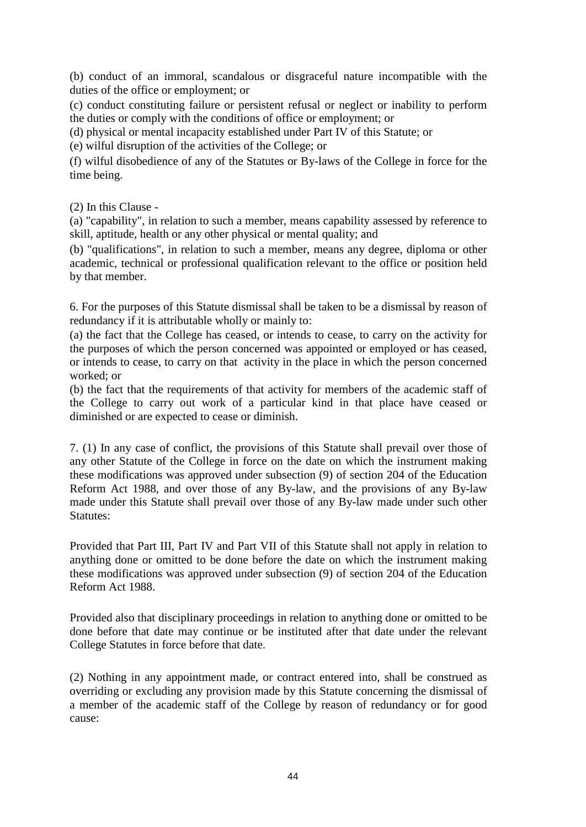(b) conduct of an immoral, scandalous or disgraceful nature incompatible with the duties of the office or employment; or

(c) conduct constituting failure or persistent refusal or neglect or inability to perform the duties or comply with the conditions of office or employment; or

(d) physical or mental incapacity established under Part IV of this Statute; or

(e) wilful disruption of the activities of the College; or

(f) wilful disobedience of any of the Statutes or By-laws of the College in force for the time being.

(2) In this Clause -

(a) "capability", in relation to such a member, means capability assessed by reference to skill, aptitude, health or any other physical or mental quality; and

(b) "qualifications", in relation to such a member, means any degree, diploma or other academic, technical or professional qualification relevant to the office or position held by that member.

6. For the purposes of this Statute dismissal shall be taken to be a dismissal by reason of redundancy if it is attributable wholly or mainly to:

(a) the fact that the College has ceased, or intends to cease, to carry on the activity for the purposes of which the person concerned was appointed or employed or has ceased, or intends to cease, to carry on that activity in the place in which the person concerned worked; or

(b) the fact that the requirements of that activity for members of the academic staff of the College to carry out work of a particular kind in that place have ceased or diminished or are expected to cease or diminish.

7. (1) In any case of conflict, the provisions of this Statute shall prevail over those of any other Statute of the College in force on the date on which the instrument making these modifications was approved under subsection (9) of section 204 of the Education Reform Act 1988, and over those of any By-law, and the provisions of any By-law made under this Statute shall prevail over those of any By-law made under such other Statutes:

Provided that Part III, Part IV and Part VII of this Statute shall not apply in relation to anything done or omitted to be done before the date on which the instrument making these modifications was approved under subsection (9) of section 204 of the Education Reform Act 1988.

Provided also that disciplinary proceedings in relation to anything done or omitted to be done before that date may continue or be instituted after that date under the relevant College Statutes in force before that date.

(2) Nothing in any appointment made, or contract entered into, shall be construed as overriding or excluding any provision made by this Statute concerning the dismissal of a member of the academic staff of the College by reason of redundancy or for good cause: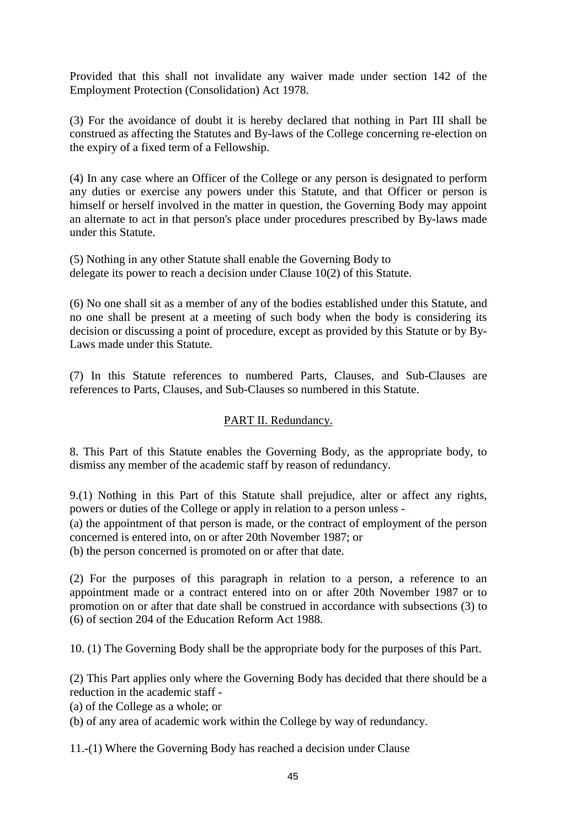Provided that this shall not invalidate any waiver made under section 142 of the Employment Protection (Consolidation) Act 1978.

(3) For the avoidance of doubt it is hereby declared that nothing in Part III shall be construed as affecting the Statutes and By-laws of the College concerning re-election on the expiry of a fixed term of a Fellowship.

(4) In any case where an Officer of the College or any person is designated to perform any duties or exercise any powers under this Statute, and that Officer or person is himself or herself involved in the matter in question, the Governing Body may appoint an alternate to act in that person's place under procedures prescribed by By-laws made under this Statute.

(5) Nothing in any other Statute shall enable the Governing Body to delegate its power to reach a decision under Clause 10(2) of this Statute.

(6) No one shall sit as a member of any of the bodies established under this Statute, and no one shall be present at a meeting of such body when the body is considering its decision or discussing a point of procedure, except as provided by this Statute or by By-Laws made under this Statute.

(7) In this Statute references to numbered Parts, Clauses, and Sub-Clauses are references to Parts, Clauses, and Sub-Clauses so numbered in this Statute.

# PART II. Redundancy.

8. This Part of this Statute enables the Governing Body, as the appropriate body, to dismiss any member of the academic staff by reason of redundancy.

9.(1) Nothing in this Part of this Statute shall prejudice, alter or affect any rights, powers or duties of the College or apply in relation to a person unless -

(a) the appointment of that person is made, or the contract of employment of the person concerned is entered into, on or after 20th November 1987; or

(b) the person concerned is promoted on or after that date.

(2) For the purposes of this paragraph in relation to a person, a reference to an appointment made or a contract entered into on or after 20th November 1987 or to promotion on or after that date shall be construed in accordance with subsections (3) to (6) of section 204 of the Education Reform Act 1988.

10. (1) The Governing Body shall be the appropriate body for the purposes of this Part.

(2) This Part applies only where the Governing Body has decided that there should be a reduction in the academic staff -

(a) of the College as a whole; or

(b) of any area of academic work within the College by way of redundancy.

11.-(1) Where the Governing Body has reached a decision under Clause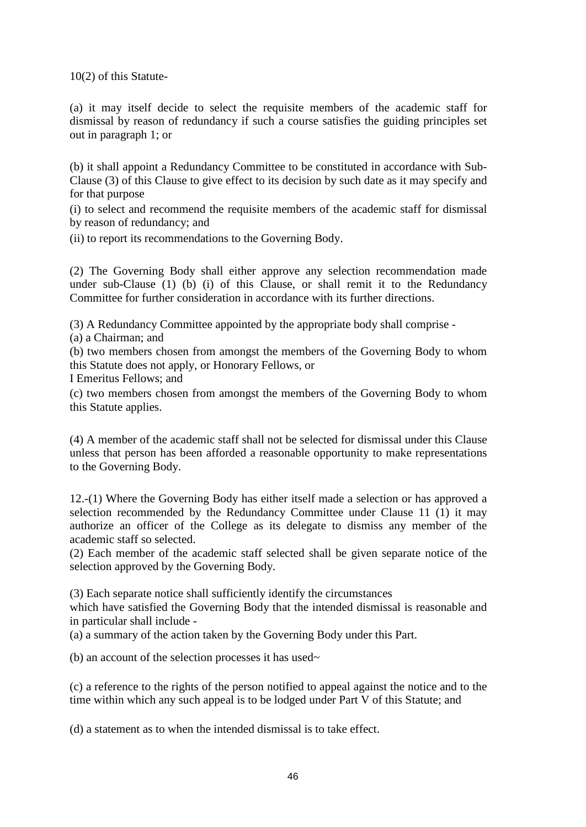10(2) of this Statute-

(a) it may itself decide to select the requisite members of the academic staff for dismissal by reason of redundancy if such a course satisfies the guiding principles set out in paragraph 1; or

(b) it shall appoint a Redundancy Committee to be constituted in accordance with Sub-Clause (3) of this Clause to give effect to its decision by such date as it may specify and for that purpose

(i) to select and recommend the requisite members of the academic staff for dismissal by reason of redundancy; and

(ii) to report its recommendations to the Governing Body.

(2) The Governing Body shall either approve any selection recommendation made under sub-Clause (1) (b) (i) of this Clause, or shall remit it to the Redundancy Committee for further consideration in accordance with its further directions.

(3) A Redundancy Committee appointed by the appropriate body shall comprise -

(a) a Chairman; and

(b) two members chosen from amongst the members of the Governing Body to whom this Statute does not apply, or Honorary Fellows, or

I Emeritus Fellows; and

(c) two members chosen from amongst the members of the Governing Body to whom this Statute applies.

(4) A member of the academic staff shall not be selected for dismissal under this Clause unless that person has been afforded a reasonable opportunity to make representations to the Governing Body.

12.-(1) Where the Governing Body has either itself made a selection or has approved a selection recommended by the Redundancy Committee under Clause 11 (1) it may authorize an officer of the College as its delegate to dismiss any member of the academic staff so selected.

(2) Each member of the academic staff selected shall be given separate notice of the selection approved by the Governing Body.

(3) Each separate notice shall sufficiently identify the circumstances

which have satisfied the Governing Body that the intended dismissal is reasonable and in particular shall include -

(a) a summary of the action taken by the Governing Body under this Part.

(b) an account of the selection processes it has used $\sim$ 

(c) a reference to the rights of the person notified to appeal against the notice and to the time within which any such appeal is to be lodged under Part V of this Statute; and

(d) a statement as to when the intended dismissal is to take effect.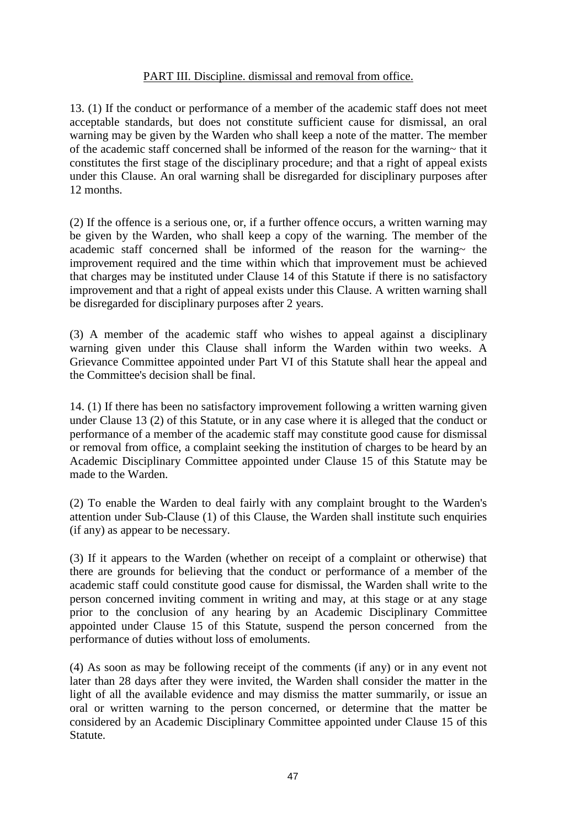# PART III. Discipline. dismissal and removal from office.

13. (1) If the conduct or performance of a member of the academic staff does not meet acceptable standards, but does not constitute sufficient cause for dismissal, an oral warning may be given by the Warden who shall keep a note of the matter. The member of the academic staff concerned shall be informed of the reason for the warning~ that it constitutes the first stage of the disciplinary procedure; and that a right of appeal exists under this Clause. An oral warning shall be disregarded for disciplinary purposes after 12 months.

(2) If the offence is a serious one, or, if a further offence occurs, a written warning may be given by the Warden, who shall keep a copy of the warning. The member of the academic staff concerned shall be informed of the reason for the warning $\sim$  the improvement required and the time within which that improvement must be achieved that charges may be instituted under Clause 14 of this Statute if there is no satisfactory improvement and that a right of appeal exists under this Clause. A written warning shall be disregarded for disciplinary purposes after 2 years.

(3) A member of the academic staff who wishes to appeal against a disciplinary warning given under this Clause shall inform the Warden within two weeks. A Grievance Committee appointed under Part VI of this Statute shall hear the appeal and the Committee's decision shall be final.

14. (1) If there has been no satisfactory improvement following a written warning given under Clause 13 (2) of this Statute, or in any case where it is alleged that the conduct or performance of a member of the academic staff may constitute good cause for dismissal or removal from office, a complaint seeking the institution of charges to be heard by an Academic Disciplinary Committee appointed under Clause 15 of this Statute may be made to the Warden.

(2) To enable the Warden to deal fairly with any complaint brought to the Warden's attention under Sub-Clause (1) of this Clause, the Warden shall institute such enquiries (if any) as appear to be necessary.

(3) If it appears to the Warden (whether on receipt of a complaint or otherwise) that there are grounds for believing that the conduct or performance of a member of the academic staff could constitute good cause for dismissal, the Warden shall write to the person concerned inviting comment in writing and may, at this stage or at any stage prior to the conclusion of any hearing by an Academic Disciplinary Committee appointed under Clause 15 of this Statute, suspend the person concerned from the performance of duties without loss of emoluments.

(4) As soon as may be following receipt of the comments (if any) or in any event not later than 28 days after they were invited, the Warden shall consider the matter in the light of all the available evidence and may dismiss the matter summarily, or issue an oral or written warning to the person concerned, or determine that the matter be considered by an Academic Disciplinary Committee appointed under Clause 15 of this Statute.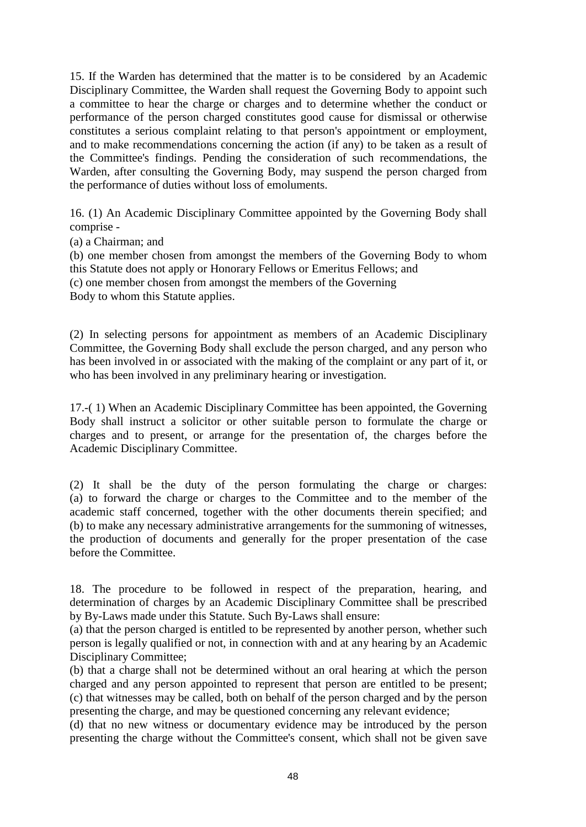15. If the Warden has determined that the matter is to be considered by an Academic Disciplinary Committee, the Warden shall request the Governing Body to appoint such a committee to hear the charge or charges and to determine whether the conduct or performance of the person charged constitutes good cause for dismissal or otherwise constitutes a serious complaint relating to that person's appointment or employment, and to make recommendations concerning the action (if any) to be taken as a result of the Committee's findings. Pending the consideration of such recommendations, the Warden, after consulting the Governing Body, may suspend the person charged from the performance of duties without loss of emoluments.

16. (1) An Academic Disciplinary Committee appointed by the Governing Body shall comprise -

(a) a Chairman; and

(b) one member chosen from amongst the members of the Governing Body to whom this Statute does not apply or Honorary Fellows or Emeritus Fellows; and (c) one member chosen from amongst the members of the Governing

Body to whom this Statute applies.

(2) In selecting persons for appointment as members of an Academic Disciplinary Committee, the Governing Body shall exclude the person charged, and any person who has been involved in or associated with the making of the complaint or any part of it, or who has been involved in any preliminary hearing or investigation.

17.-( 1) When an Academic Disciplinary Committee has been appointed, the Governing Body shall instruct a solicitor or other suitable person to formulate the charge or charges and to present, or arrange for the presentation of, the charges before the Academic Disciplinary Committee.

(2) It shall be the duty of the person formulating the charge or charges: (a) to forward the charge or charges to the Committee and to the member of the academic staff concerned, together with the other documents therein specified; and (b) to make any necessary administrative arrangements for the summoning of witnesses, the production of documents and generally for the proper presentation of the case before the Committee.

18. The procedure to be followed in respect of the preparation, hearing, and determination of charges by an Academic Disciplinary Committee shall be prescribed by By-Laws made under this Statute. Such By-Laws shall ensure:

(a) that the person charged is entitled to be represented by another person, whether such person is legally qualified or not, in connection with and at any hearing by an Academic Disciplinary Committee;

(b) that a charge shall not be determined without an oral hearing at which the person charged and any person appointed to represent that person are entitled to be present; (c) that witnesses may be called, both on behalf of the person charged and by the person presenting the charge, and may be questioned concerning any relevant evidence;

(d) that no new witness or documentary evidence may be introduced by the person presenting the charge without the Committee's consent, which shall not be given save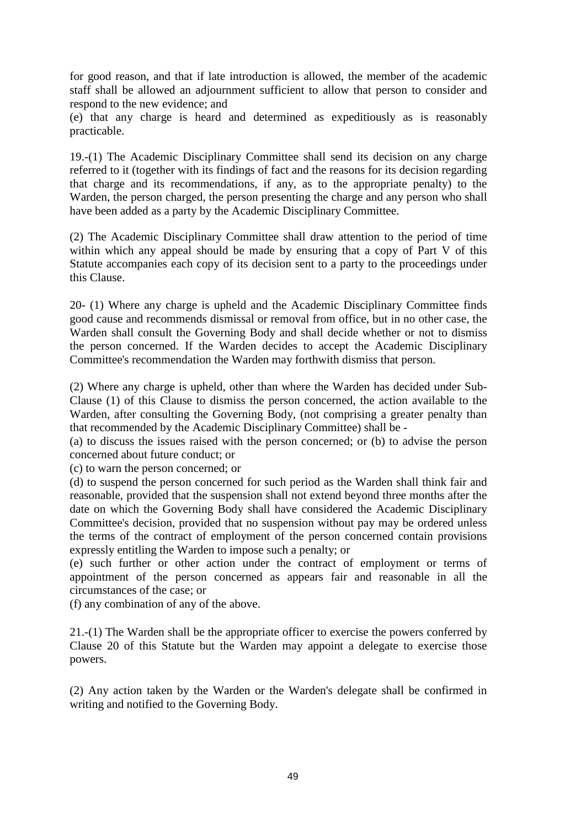for good reason, and that if late introduction is allowed, the member of the academic staff shall be allowed an adjournment sufficient to allow that person to consider and respond to the new evidence; and

(e) that any charge is heard and determined as expeditiously as is reasonably practicable.

19.-(1) The Academic Disciplinary Committee shall send its decision on any charge referred to it (together with its findings of fact and the reasons for its decision regarding that charge and its recommendations, if any, as to the appropriate penalty) to the Warden, the person charged, the person presenting the charge and any person who shall have been added as a party by the Academic Disciplinary Committee.

(2) The Academic Disciplinary Committee shall draw attention to the period of time within which any appeal should be made by ensuring that a copy of Part V of this Statute accompanies each copy of its decision sent to a party to the proceedings under this Clause.

20- (1) Where any charge is upheld and the Academic Disciplinary Committee finds good cause and recommends dismissal or removal from office, but in no other case, the Warden shall consult the Governing Body and shall decide whether or not to dismiss the person concerned. If the Warden decides to accept the Academic Disciplinary Committee's recommendation the Warden may forthwith dismiss that person.

(2) Where any charge is upheld, other than where the Warden has decided under Sub-Clause (1) of this Clause to dismiss the person concerned, the action available to the Warden, after consulting the Governing Body, (not comprising a greater penalty than that recommended by the Academic Disciplinary Committee) shall be -

(a) to discuss the issues raised with the person concerned; or (b) to advise the person concerned about future conduct; or

(c) to warn the person concerned; or

(d) to suspend the person concerned for such period as the Warden shall think fair and reasonable, provided that the suspension shall not extend beyond three months after the date on which the Governing Body shall have considered the Academic Disciplinary Committee's decision, provided that no suspension without pay may be ordered unless the terms of the contract of employment of the person concerned contain provisions expressly entitling the Warden to impose such a penalty; or

(e) such further or other action under the contract of employment or terms of appointment of the person concerned as appears fair and reasonable in all the circumstances of the case; or

(f) any combination of any of the above.

21.-(1) The Warden shall be the appropriate officer to exercise the powers conferred by Clause 20 of this Statute but the Warden may appoint a delegate to exercise those powers.

(2) Any action taken by the Warden or the Warden's delegate shall be confirmed in writing and notified to the Governing Body.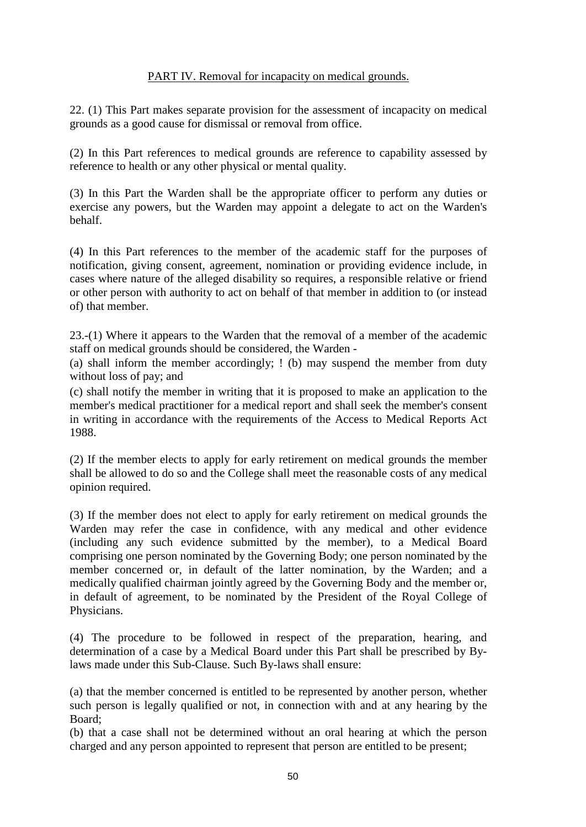# PART IV. Removal for incapacity on medical grounds.

22. (1) This Part makes separate provision for the assessment of incapacity on medical grounds as a good cause for dismissal or removal from office.

(2) In this Part references to medical grounds are reference to capability assessed by reference to health or any other physical or mental quality.

(3) In this Part the Warden shall be the appropriate officer to perform any duties or exercise any powers, but the Warden may appoint a delegate to act on the Warden's behalf.

(4) In this Part references to the member of the academic staff for the purposes of notification, giving consent, agreement, nomination or providing evidence include, in cases where nature of the alleged disability so requires, a responsible relative or friend or other person with authority to act on behalf of that member in addition to (or instead of) that member.

23.-(1) Where it appears to the Warden that the removal of a member of the academic staff on medical grounds should be considered, the Warden -

(a) shall inform the member accordingly; ! (b) may suspend the member from duty without loss of pay; and

(c) shall notify the member in writing that it is proposed to make an application to the member's medical practitioner for a medical report and shall seek the member's consent in writing in accordance with the requirements of the Access to Medical Reports Act 1988.

(2) If the member elects to apply for early retirement on medical grounds the member shall be allowed to do so and the College shall meet the reasonable costs of any medical opinion required.

(3) If the member does not elect to apply for early retirement on medical grounds the Warden may refer the case in confidence, with any medical and other evidence (including any such evidence submitted by the member), to a Medical Board comprising one person nominated by the Governing Body; one person nominated by the member concerned or, in default of the latter nomination, by the Warden; and a medically qualified chairman jointly agreed by the Governing Body and the member or, in default of agreement, to be nominated by the President of the Royal College of Physicians.

(4) The procedure to be followed in respect of the preparation, hearing, and determination of a case by a Medical Board under this Part shall be prescribed by Bylaws made under this Sub-Clause. Such By-laws shall ensure:

(a) that the member concerned is entitled to be represented by another person, whether such person is legally qualified or not, in connection with and at any hearing by the Board;

(b) that a case shall not be determined without an oral hearing at which the person charged and any person appointed to represent that person are entitled to be present;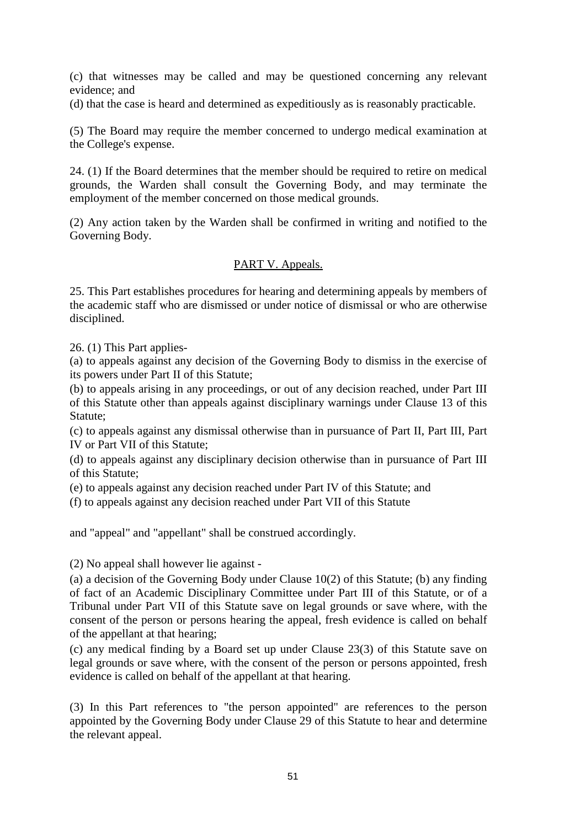(c) that witnesses may be called and may be questioned concerning any relevant evidence; and

(d) that the case is heard and determined as expeditiously as is reasonably practicable.

(5) The Board may require the member concerned to undergo medical examination at the College's expense.

24. (1) If the Board determines that the member should be required to retire on medical grounds, the Warden shall consult the Governing Body, and may terminate the employment of the member concerned on those medical grounds.

(2) Any action taken by the Warden shall be confirmed in writing and notified to the Governing Body.

# PART V. Appeals.

25. This Part establishes procedures for hearing and determining appeals by members of the academic staff who are dismissed or under notice of dismissal or who are otherwise disciplined.

26. (1) This Part applies-

(a) to appeals against any decision of the Governing Body to dismiss in the exercise of its powers under Part II of this Statute;

(b) to appeals arising in any proceedings, or out of any decision reached, under Part III of this Statute other than appeals against disciplinary warnings under Clause 13 of this Statute;

(c) to appeals against any dismissal otherwise than in pursuance of Part II, Part III, Part IV or Part VII of this Statute;

(d) to appeals against any disciplinary decision otherwise than in pursuance of Part III of this Statute;

(e) to appeals against any decision reached under Part IV of this Statute; and

(f) to appeals against any decision reached under Part VII of this Statute

and "appeal" and "appellant" shall be construed accordingly.

(2) No appeal shall however lie against -

(a) a decision of the Governing Body under Clause 10(2) of this Statute; (b) any finding of fact of an Academic Disciplinary Committee under Part III of this Statute, or of a Tribunal under Part VII of this Statute save on legal grounds or save where, with the consent of the person or persons hearing the appeal, fresh evidence is called on behalf of the appellant at that hearing;

(c) any medical finding by a Board set up under Clause 23(3) of this Statute save on legal grounds or save where, with the consent of the person or persons appointed, fresh evidence is called on behalf of the appellant at that hearing.

(3) In this Part references to "the person appointed" are references to the person appointed by the Governing Body under Clause 29 of this Statute to hear and determine the relevant appeal.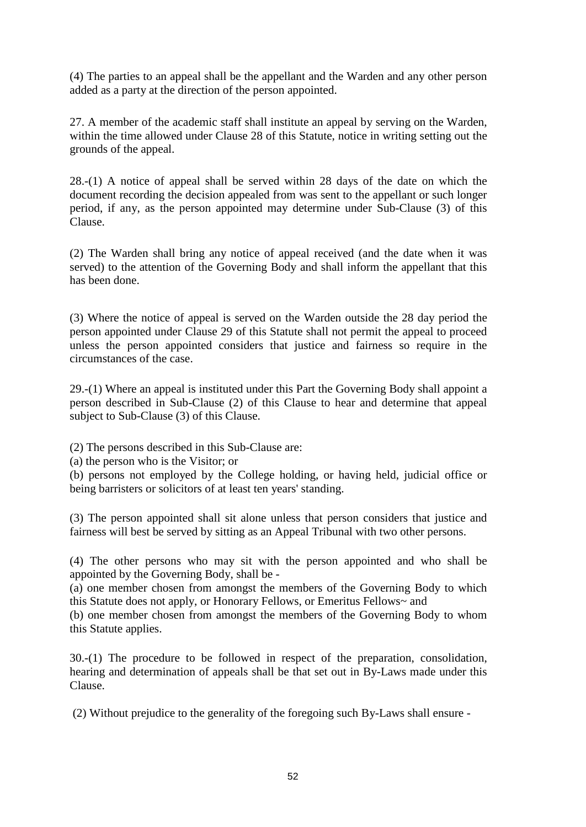(4) The parties to an appeal shall be the appellant and the Warden and any other person added as a party at the direction of the person appointed.

27. A member of the academic staff shall institute an appeal by serving on the Warden, within the time allowed under Clause 28 of this Statute, notice in writing setting out the grounds of the appeal.

28.-(1) A notice of appeal shall be served within 28 days of the date on which the document recording the decision appealed from was sent to the appellant or such longer period, if any, as the person appointed may determine under Sub-Clause (3) of this Clause.

(2) The Warden shall bring any notice of appeal received (and the date when it was served) to the attention of the Governing Body and shall inform the appellant that this has been done.

(3) Where the notice of appeal is served on the Warden outside the 28 day period the person appointed under Clause 29 of this Statute shall not permit the appeal to proceed unless the person appointed considers that justice and fairness so require in the circumstances of the case.

29.-(1) Where an appeal is instituted under this Part the Governing Body shall appoint a person described in Sub-Clause (2) of this Clause to hear and determine that appeal subject to Sub-Clause (3) of this Clause.

(2) The persons described in this Sub-Clause are:

(a) the person who is the Visitor; or

(b) persons not employed by the College holding, or having held, judicial office or being barristers or solicitors of at least ten years' standing.

(3) The person appointed shall sit alone unless that person considers that justice and fairness will best be served by sitting as an Appeal Tribunal with two other persons.

(4) The other persons who may sit with the person appointed and who shall be appointed by the Governing Body, shall be -

(a) one member chosen from amongst the members of the Governing Body to which this Statute does not apply, or Honorary Fellows, or Emeritus Fellows~ and

(b) one member chosen from amongst the members of the Governing Body to whom this Statute applies.

30.-(1) The procedure to be followed in respect of the preparation, consolidation, hearing and determination of appeals shall be that set out in By-Laws made under this Clause.

(2) Without prejudice to the generality of the foregoing such By-Laws shall ensure -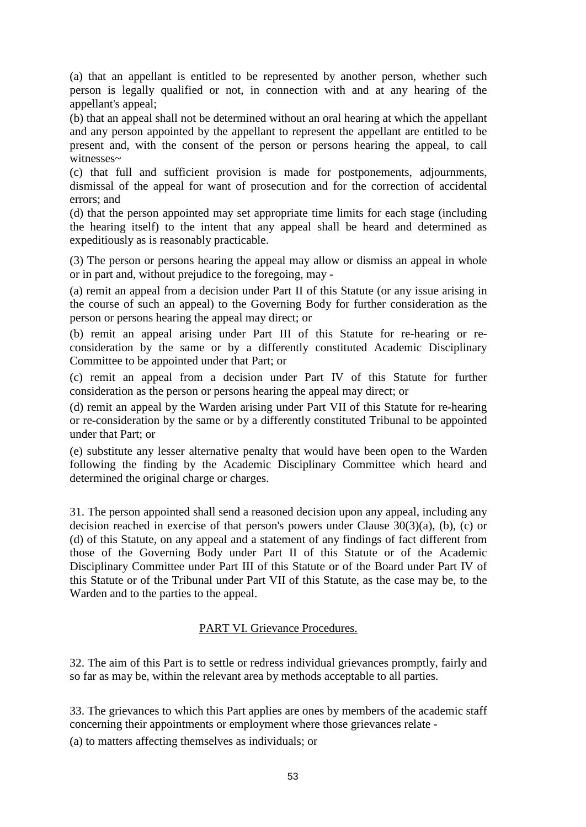(a) that an appellant is entitled to be represented by another person, whether such person is legally qualified or not, in connection with and at any hearing of the appellant's appeal;

(b) that an appeal shall not be determined without an oral hearing at which the appellant and any person appointed by the appellant to represent the appellant are entitled to be present and, with the consent of the person or persons hearing the appeal, to call witnesses~

(c) that full and sufficient provision is made for postponements, adjournments, dismissal of the appeal for want of prosecution and for the correction of accidental errors; and

(d) that the person appointed may set appropriate time limits for each stage (including the hearing itself) to the intent that any appeal shall be heard and determined as expeditiously as is reasonably practicable.

(3) The person or persons hearing the appeal may allow or dismiss an appeal in whole or in part and, without prejudice to the foregoing, may -

(a) remit an appeal from a decision under Part II of this Statute (or any issue arising in the course of such an appeal) to the Governing Body for further consideration as the person or persons hearing the appeal may direct; or

(b) remit an appeal arising under Part III of this Statute for re-hearing or reconsideration by the same or by a differently constituted Academic Disciplinary Committee to be appointed under that Part; or

(c) remit an appeal from a decision under Part IV of this Statute for further consideration as the person or persons hearing the appeal may direct; or

(d) remit an appeal by the Warden arising under Part VII of this Statute for re-hearing or re-consideration by the same or by a differently constituted Tribunal to be appointed under that Part; or

(e) substitute any lesser alternative penalty that would have been open to the Warden following the finding by the Academic Disciplinary Committee which heard and determined the original charge or charges.

31. The person appointed shall send a reasoned decision upon any appeal, including any decision reached in exercise of that person's powers under Clause  $30(3)(a)$ , (b), (c) or (d) of this Statute, on any appeal and a statement of any findings of fact different from those of the Governing Body under Part II of this Statute or of the Academic Disciplinary Committee under Part III of this Statute or of the Board under Part IV of this Statute or of the Tribunal under Part VII of this Statute, as the case may be, to the Warden and to the parties to the appeal.

# PART VI. Grievance Procedures.

32. The aim of this Part is to settle or redress individual grievances promptly, fairly and so far as may be, within the relevant area by methods acceptable to all parties.

33. The grievances to which this Part applies are ones by members of the academic staff concerning their appointments or employment where those grievances relate -

(a) to matters affecting themselves as individuals; or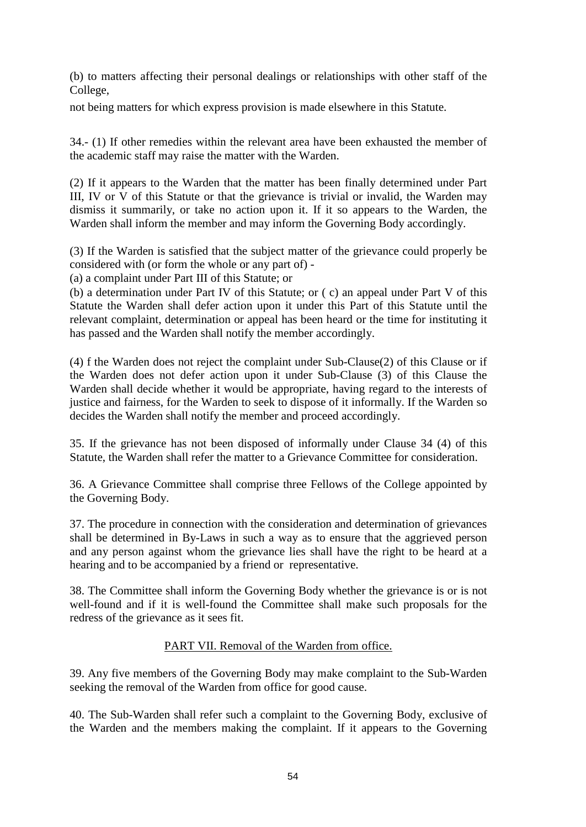(b) to matters affecting their personal dealings or relationships with other staff of the College,

not being matters for which express provision is made elsewhere in this Statute.

34.- (1) If other remedies within the relevant area have been exhausted the member of the academic staff may raise the matter with the Warden.

(2) If it appears to the Warden that the matter has been finally determined under Part III, IV or V of this Statute or that the grievance is trivial or invalid, the Warden may dismiss it summarily, or take no action upon it. If it so appears to the Warden, the Warden shall inform the member and may inform the Governing Body accordingly.

(3) If the Warden is satisfied that the subject matter of the grievance could properly be considered with (or form the whole or any part of) -

(a) a complaint under Part III of this Statute; or

(b) a determination under Part IV of this Statute; or ( c) an appeal under Part V of this Statute the Warden shall defer action upon it under this Part of this Statute until the relevant complaint, determination or appeal has been heard or the time for instituting it has passed and the Warden shall notify the member accordingly.

(4) f the Warden does not reject the complaint under Sub-Clause(2) of this Clause or if the Warden does not defer action upon it under Sub-Clause (3) of this Clause the Warden shall decide whether it would be appropriate, having regard to the interests of justice and fairness, for the Warden to seek to dispose of it informally. If the Warden so decides the Warden shall notify the member and proceed accordingly.

35. If the grievance has not been disposed of informally under Clause 34 (4) of this Statute, the Warden shall refer the matter to a Grievance Committee for consideration.

36. A Grievance Committee shall comprise three Fellows of the College appointed by the Governing Body.

37. The procedure in connection with the consideration and determination of grievances shall be determined in By-Laws in such a way as to ensure that the aggrieved person and any person against whom the grievance lies shall have the right to be heard at a hearing and to be accompanied by a friend or representative.

38. The Committee shall inform the Governing Body whether the grievance is or is not well-found and if it is well-found the Committee shall make such proposals for the redress of the grievance as it sees fit.

# PART VII. Removal of the Warden from office.

39. Any five members of the Governing Body may make complaint to the Sub-Warden seeking the removal of the Warden from office for good cause.

40. The Sub-Warden shall refer such a complaint to the Governing Body, exclusive of the Warden and the members making the complaint. If it appears to the Governing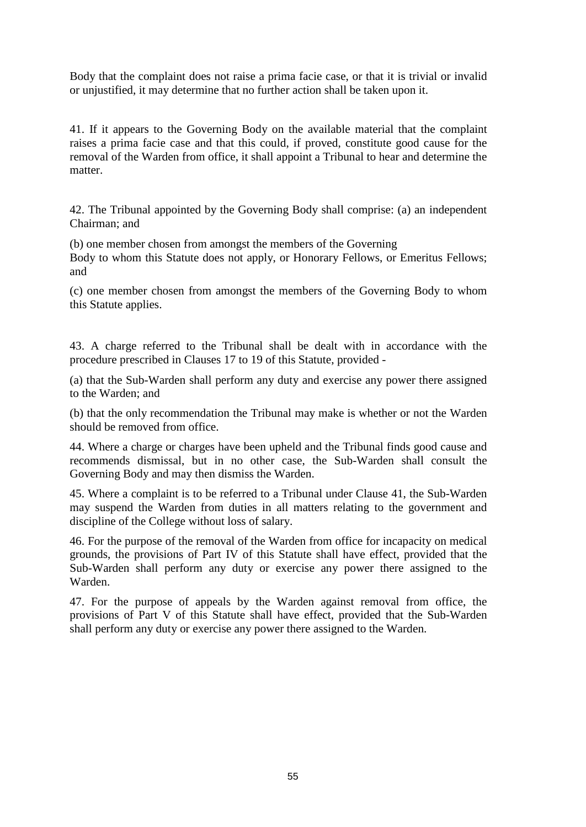Body that the complaint does not raise a prima facie case, or that it is trivial or invalid or unjustified, it may determine that no further action shall be taken upon it.

41. If it appears to the Governing Body on the available material that the complaint raises a prima facie case and that this could, if proved, constitute good cause for the removal of the Warden from office, it shall appoint a Tribunal to hear and determine the matter.

42. The Tribunal appointed by the Governing Body shall comprise: (a) an independent Chairman; and

(b) one member chosen from amongst the members of the Governing

Body to whom this Statute does not apply, or Honorary Fellows, or Emeritus Fellows; and

(c) one member chosen from amongst the members of the Governing Body to whom this Statute applies.

43. A charge referred to the Tribunal shall be dealt with in accordance with the procedure prescribed in Clauses 17 to 19 of this Statute, provided -

(a) that the Sub-Warden shall perform any duty and exercise any power there assigned to the Warden; and

(b) that the only recommendation the Tribunal may make is whether or not the Warden should be removed from office.

44. Where a charge or charges have been upheld and the Tribunal finds good cause and recommends dismissal, but in no other case, the Sub-Warden shall consult the Governing Body and may then dismiss the Warden.

45. Where a complaint is to be referred to a Tribunal under Clause 41, the Sub-Warden may suspend the Warden from duties in all matters relating to the government and discipline of the College without loss of salary.

46. For the purpose of the removal of the Warden from office for incapacity on medical grounds, the provisions of Part IV of this Statute shall have effect, provided that the Sub-Warden shall perform any duty or exercise any power there assigned to the Warden.

47. For the purpose of appeals by the Warden against removal from office, the provisions of Part V of this Statute shall have effect, provided that the Sub-Warden shall perform any duty or exercise any power there assigned to the Warden.